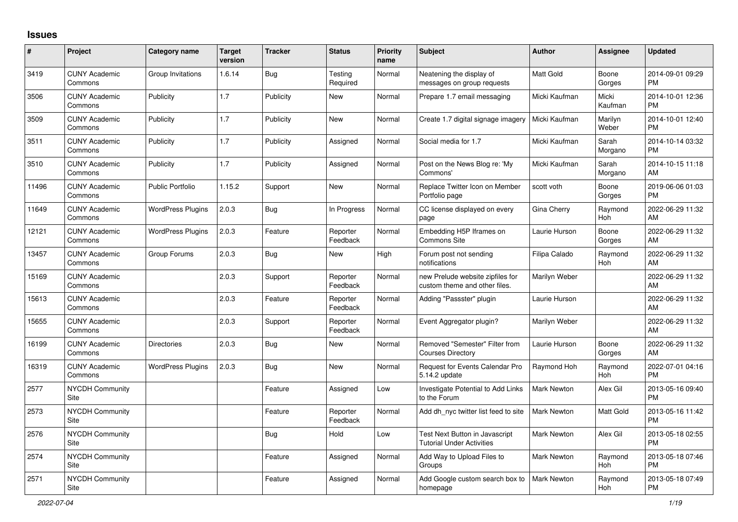## **Issues**

| $\vert$ # | Project                         | Category name            | <b>Target</b><br>version | <b>Tracker</b> | <b>Status</b>        | <b>Priority</b><br>name | <b>Subject</b>                                                     | <b>Author</b>      | Assignee         | <b>Updated</b>                |
|-----------|---------------------------------|--------------------------|--------------------------|----------------|----------------------|-------------------------|--------------------------------------------------------------------|--------------------|------------------|-------------------------------|
| 3419      | <b>CUNY Academic</b><br>Commons | Group Invitations        | 1.6.14                   | Bug            | Testing<br>Required  | Normal                  | Neatening the display of<br>messages on group requests             | <b>Matt Gold</b>   | Boone<br>Gorges  | 2014-09-01 09:29<br><b>PM</b> |
| 3506      | <b>CUNY Academic</b><br>Commons | Publicity                | 1.7                      | Publicity      | New                  | Normal                  | Prepare 1.7 email messaging                                        | Micki Kaufman      | Micki<br>Kaufman | 2014-10-01 12:36<br><b>PM</b> |
| 3509      | <b>CUNY Academic</b><br>Commons | Publicity                | 1.7                      | Publicity      | New                  | Normal                  | Create 1.7 digital signage imagery                                 | Micki Kaufman      | Marilyn<br>Weber | 2014-10-01 12:40<br><b>PM</b> |
| 3511      | <b>CUNY Academic</b><br>Commons | Publicity                | 1.7                      | Publicity      | Assigned             | Normal                  | Social media for 1.7                                               | Micki Kaufman      | Sarah<br>Morgano | 2014-10-14 03:32<br><b>PM</b> |
| 3510      | <b>CUNY Academic</b><br>Commons | Publicity                | 1.7                      | Publicity      | Assigned             | Normal                  | Post on the News Blog re: 'My<br>Commons'                          | Micki Kaufman      | Sarah<br>Morgano | 2014-10-15 11:18<br>AM        |
| 11496     | <b>CUNY Academic</b><br>Commons | <b>Public Portfolio</b>  | 1.15.2                   | Support        | New                  | Normal                  | Replace Twitter Icon on Member<br>Portfolio page                   | scott voth         | Boone<br>Gorges  | 2019-06-06 01:03<br><b>PM</b> |
| 11649     | <b>CUNY Academic</b><br>Commons | <b>WordPress Plugins</b> | 2.0.3                    | <b>Bug</b>     | In Progress          | Normal                  | CC license displayed on every<br>page                              | <b>Gina Cherry</b> | Raymond<br>Hoh   | 2022-06-29 11:32<br>AM        |
| 12121     | <b>CUNY Academic</b><br>Commons | <b>WordPress Plugins</b> | 2.0.3                    | Feature        | Reporter<br>Feedback | Normal                  | Embedding H5P Iframes on<br><b>Commons Site</b>                    | Laurie Hurson      | Boone<br>Gorges  | 2022-06-29 11:32<br>AM        |
| 13457     | <b>CUNY Academic</b><br>Commons | Group Forums             | 2.0.3                    | <b>Bug</b>     | New                  | High                    | Forum post not sending<br>notifications                            | Filipa Calado      | Raymond<br>Hoh   | 2022-06-29 11:32<br>AM        |
| 15169     | <b>CUNY Academic</b><br>Commons |                          | 2.0.3                    | Support        | Reporter<br>Feedback | Normal                  | new Prelude website zipfiles for<br>custom theme and other files.  | Marilyn Weber      |                  | 2022-06-29 11:32<br>AM        |
| 15613     | <b>CUNY Academic</b><br>Commons |                          | 2.0.3                    | Feature        | Reporter<br>Feedback | Normal                  | Adding "Passster" plugin                                           | Laurie Hurson      |                  | 2022-06-29 11:32<br>AM        |
| 15655     | <b>CUNY Academic</b><br>Commons |                          | 2.0.3                    | Support        | Reporter<br>Feedback | Normal                  | Event Aggregator plugin?                                           | Marilyn Weber      |                  | 2022-06-29 11:32<br>AM        |
| 16199     | <b>CUNY Academic</b><br>Commons | <b>Directories</b>       | 2.0.3                    | Bug            | New                  | Normal                  | Removed "Semester" Filter from<br><b>Courses Directory</b>         | Laurie Hurson      | Boone<br>Gorges  | 2022-06-29 11:32<br>AM        |
| 16319     | <b>CUNY Academic</b><br>Commons | <b>WordPress Plugins</b> | 2.0.3                    | Bug            | <b>New</b>           | Normal                  | Request for Events Calendar Pro<br>5.14.2 update                   | Raymond Hoh        | Raymond<br>Hoh   | 2022-07-01 04:16<br><b>PM</b> |
| 2577      | <b>NYCDH Community</b><br>Site  |                          |                          | Feature        | Assigned             | Low                     | Investigate Potential to Add Links<br>to the Forum                 | Mark Newton        | Alex Gil         | 2013-05-16 09:40<br><b>PM</b> |
| 2573      | <b>NYCDH Community</b><br>Site  |                          |                          | Feature        | Reporter<br>Feedback | Normal                  | Add dh nyc twitter list feed to site                               | <b>Mark Newton</b> | Matt Gold        | 2013-05-16 11:42<br><b>PM</b> |
| 2576      | NYCDH Community<br>Site         |                          |                          | <b>Bug</b>     | Hold                 | Low                     | Test Next Button in Javascript<br><b>Tutorial Under Activities</b> | Mark Newton        | Alex Gil         | 2013-05-18 02:55<br><b>PM</b> |
| 2574      | <b>NYCDH Community</b><br>Site  |                          |                          | Feature        | Assigned             | Normal                  | Add Way to Upload Files to<br>Groups                               | Mark Newton        | Raymond<br>Hoh   | 2013-05-18 07:46<br><b>PM</b> |
| 2571      | <b>NYCDH Community</b><br>Site  |                          |                          | Feature        | Assigned             | Normal                  | Add Google custom search box to<br>homepage                        | <b>Mark Newton</b> | Raymond<br>Hoh   | 2013-05-18 07:49<br><b>PM</b> |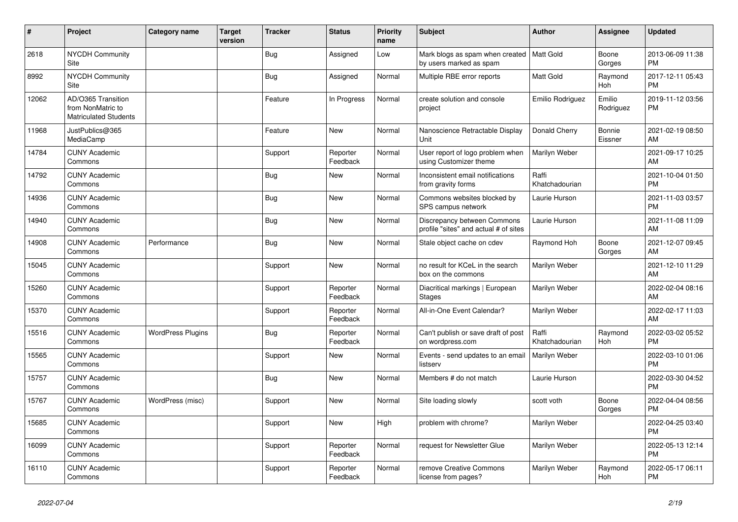| #     | Project                                                                 | Category name            | <b>Target</b><br>version | <b>Tracker</b> | <b>Status</b>        | <b>Priority</b><br>name | <b>Subject</b>                                                         | <b>Author</b>           | <b>Assignee</b>     | <b>Updated</b>                |
|-------|-------------------------------------------------------------------------|--------------------------|--------------------------|----------------|----------------------|-------------------------|------------------------------------------------------------------------|-------------------------|---------------------|-------------------------------|
| 2618  | <b>NYCDH Community</b><br>Site                                          |                          |                          | <b>Bug</b>     | Assigned             | Low                     | Mark blogs as spam when created   Matt Gold<br>by users marked as spam |                         | Boone<br>Gorges     | 2013-06-09 11:38<br><b>PM</b> |
| 8992  | NYCDH Community<br>Site                                                 |                          |                          | Bug            | Assigned             | Normal                  | Multiple RBE error reports                                             | <b>Matt Gold</b>        | Raymond<br>Hoh      | 2017-12-11 05:43<br><b>PM</b> |
| 12062 | AD/O365 Transition<br>from NonMatric to<br><b>Matriculated Students</b> |                          |                          | Feature        | In Progress          | Normal                  | create solution and console<br>project                                 | Emilio Rodriguez        | Emilio<br>Rodriguez | 2019-11-12 03:56<br><b>PM</b> |
| 11968 | JustPublics@365<br>MediaCamp                                            |                          |                          | Feature        | New                  | Normal                  | Nanoscience Retractable Display<br>Unit                                | Donald Cherry           | Bonnie<br>Eissner   | 2021-02-19 08:50<br>AM        |
| 14784 | <b>CUNY Academic</b><br>Commons                                         |                          |                          | Support        | Reporter<br>Feedback | Normal                  | User report of logo problem when<br>using Customizer theme             | Marilyn Weber           |                     | 2021-09-17 10:25<br>AM        |
| 14792 | <b>CUNY Academic</b><br>Commons                                         |                          |                          | Bug            | <b>New</b>           | Normal                  | Inconsistent email notifications<br>from gravity forms                 | Raffi<br>Khatchadourian |                     | 2021-10-04 01:50<br><b>PM</b> |
| 14936 | <b>CUNY Academic</b><br>Commons                                         |                          |                          | Bug            | New                  | Normal                  | Commons websites blocked by<br>SPS campus network                      | Laurie Hurson           |                     | 2021-11-03 03:57<br><b>PM</b> |
| 14940 | <b>CUNY Academic</b><br>Commons                                         |                          |                          | <b>Bug</b>     | <b>New</b>           | Normal                  | Discrepancy between Commons<br>profile "sites" and actual # of sites   | Laurie Hurson           |                     | 2021-11-08 11:09<br>AM        |
| 14908 | <b>CUNY Academic</b><br>Commons                                         | Performance              |                          | <b>Bug</b>     | <b>New</b>           | Normal                  | Stale object cache on cdev                                             | Raymond Hoh             | Boone<br>Gorges     | 2021-12-07 09:45<br>AM        |
| 15045 | <b>CUNY Academic</b><br>Commons                                         |                          |                          | Support        | New                  | Normal                  | no result for KCeL in the search<br>box on the commons                 | Marilyn Weber           |                     | 2021-12-10 11:29<br>AM        |
| 15260 | <b>CUNY Academic</b><br>Commons                                         |                          |                          | Support        | Reporter<br>Feedback | Normal                  | Diacritical markings   European<br><b>Stages</b>                       | Marilyn Weber           |                     | 2022-02-04 08:16<br>AM        |
| 15370 | <b>CUNY Academic</b><br>Commons                                         |                          |                          | Support        | Reporter<br>Feedback | Normal                  | All-in-One Event Calendar?                                             | Marilyn Weber           |                     | 2022-02-17 11:03<br>AM        |
| 15516 | <b>CUNY Academic</b><br>Commons                                         | <b>WordPress Plugins</b> |                          | <b>Bug</b>     | Reporter<br>Feedback | Normal                  | Can't publish or save draft of post<br>on wordpress.com                | Raffi<br>Khatchadourian | Raymond<br>Hoh      | 2022-03-02 05:52<br><b>PM</b> |
| 15565 | <b>CUNY Academic</b><br>Commons                                         |                          |                          | Support        | New                  | Normal                  | Events - send updates to an email<br>listserv                          | Marilyn Weber           |                     | 2022-03-10 01:06<br><b>PM</b> |
| 15757 | <b>CUNY Academic</b><br>Commons                                         |                          |                          | <b>Bug</b>     | <b>New</b>           | Normal                  | Members # do not match                                                 | Laurie Hurson           |                     | 2022-03-30 04:52<br><b>PM</b> |
| 15767 | <b>CUNY Academic</b><br>Commons                                         | WordPress (misc)         |                          | Support        | <b>New</b>           | Normal                  | Site loading slowly                                                    | scott voth              | Boone<br>Gorges     | 2022-04-04 08:56<br><b>PM</b> |
| 15685 | <b>CUNY Academic</b><br>Commons                                         |                          |                          | Support        | <b>New</b>           | High                    | problem with chrome?                                                   | Marilyn Weber           |                     | 2022-04-25 03:40<br><b>PM</b> |
| 16099 | <b>CUNY Academic</b><br>Commons                                         |                          |                          | Support        | Reporter<br>Feedback | Normal                  | request for Newsletter Glue                                            | Marilyn Weber           |                     | 2022-05-13 12:14<br><b>PM</b> |
| 16110 | <b>CUNY Academic</b><br>Commons                                         |                          |                          | Support        | Reporter<br>Feedback | Normal                  | remove Creative Commons<br>license from pages?                         | Marilyn Weber           | Raymond<br>Hoh      | 2022-05-17 06:11<br><b>PM</b> |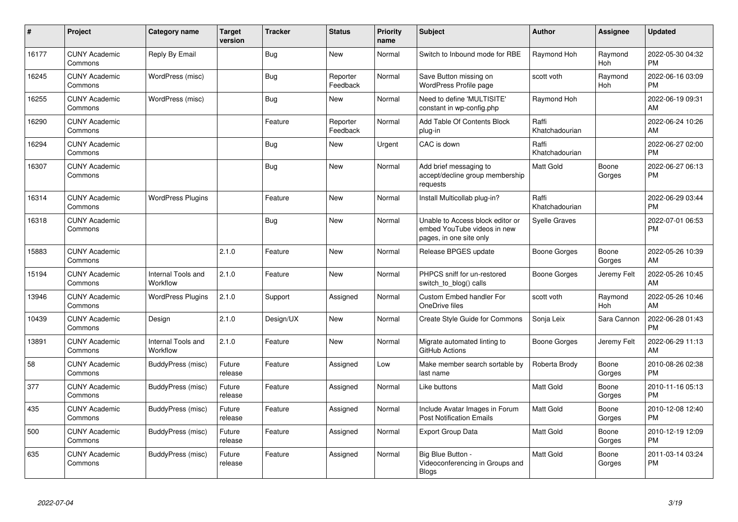| $\pmb{\#}$ | Project                         | Category name                  | <b>Target</b><br>version | <b>Tracker</b> | <b>Status</b>        | <b>Priority</b><br>name | <b>Subject</b>                                                                             | <b>Author</b>           | <b>Assignee</b>       | <b>Updated</b>                |
|------------|---------------------------------|--------------------------------|--------------------------|----------------|----------------------|-------------------------|--------------------------------------------------------------------------------------------|-------------------------|-----------------------|-------------------------------|
| 16177      | <b>CUNY Academic</b><br>Commons | Reply By Email                 |                          | Bug            | <b>New</b>           | Normal                  | Switch to Inbound mode for RBE                                                             | Raymond Hoh             | Raymond<br>Hoh        | 2022-05-30 04:32<br><b>PM</b> |
| 16245      | <b>CUNY Academic</b><br>Commons | WordPress (misc)               |                          | Bug            | Reporter<br>Feedback | Normal                  | Save Button missing on<br>WordPress Profile page                                           | scott voth              | Raymond<br><b>Hoh</b> | 2022-06-16 03:09<br><b>PM</b> |
| 16255      | <b>CUNY Academic</b><br>Commons | WordPress (misc)               |                          | Bug            | <b>New</b>           | Normal                  | Need to define 'MULTISITE'<br>constant in wp-config.php                                    | Raymond Hoh             |                       | 2022-06-19 09:31<br>AM        |
| 16290      | <b>CUNY Academic</b><br>Commons |                                |                          | Feature        | Reporter<br>Feedback | Normal                  | Add Table Of Contents Block<br>plug-in                                                     | Raffi<br>Khatchadourian |                       | 2022-06-24 10:26<br>AM        |
| 16294      | <b>CUNY Academic</b><br>Commons |                                |                          | Bug            | New                  | Urgent                  | CAC is down                                                                                | Raffi<br>Khatchadourian |                       | 2022-06-27 02:00<br><b>PM</b> |
| 16307      | <b>CUNY Academic</b><br>Commons |                                |                          | Bug            | New                  | Normal                  | Add brief messaging to<br>accept/decline group membership<br>requests                      | <b>Matt Gold</b>        | Boone<br>Gorges       | 2022-06-27 06:13<br><b>PM</b> |
| 16314      | <b>CUNY Academic</b><br>Commons | <b>WordPress Plugins</b>       |                          | Feature        | <b>New</b>           | Normal                  | Install Multicollab plug-in?                                                               | Raffi<br>Khatchadourian |                       | 2022-06-29 03:44<br><b>PM</b> |
| 16318      | <b>CUNY Academic</b><br>Commons |                                |                          | Bug            | <b>New</b>           | Normal                  | Unable to Access block editor or<br>embed YouTube videos in new<br>pages, in one site only | <b>Syelle Graves</b>    |                       | 2022-07-01 06:53<br><b>PM</b> |
| 15883      | <b>CUNY Academic</b><br>Commons |                                | 2.1.0                    | Feature        | <b>New</b>           | Normal                  | Release BPGES update                                                                       | <b>Boone Gorges</b>     | Boone<br>Gorges       | 2022-05-26 10:39<br>AM        |
| 15194      | <b>CUNY Academic</b><br>Commons | Internal Tools and<br>Workflow | 2.1.0                    | Feature        | <b>New</b>           | Normal                  | PHPCS sniff for un-restored<br>switch to blog() calls                                      | Boone Gorges            | Jeremy Felt           | 2022-05-26 10:45<br>AM        |
| 13946      | <b>CUNY Academic</b><br>Commons | <b>WordPress Plugins</b>       | 2.1.0                    | Support        | Assigned             | Normal                  | Custom Embed handler For<br>OneDrive files                                                 | scott voth              | Raymond<br>Hoh        | 2022-05-26 10:46<br>AM        |
| 10439      | <b>CUNY Academic</b><br>Commons | Design                         | 2.1.0                    | Design/UX      | <b>New</b>           | Normal                  | <b>Create Style Guide for Commons</b>                                                      | Sonja Leix              | Sara Cannon           | 2022-06-28 01:43<br><b>PM</b> |
| 13891      | <b>CUNY Academic</b><br>Commons | Internal Tools and<br>Workflow | 2.1.0                    | Feature        | <b>New</b>           | Normal                  | Migrate automated linting to<br>GitHub Actions                                             | Boone Gorges            | Jeremy Felt           | 2022-06-29 11:13<br>AM        |
| 58         | <b>CUNY Academic</b><br>Commons | BuddyPress (misc)              | Future<br>release        | Feature        | Assigned             | Low                     | Make member search sortable by<br>last name                                                | Roberta Brody           | Boone<br>Gorges       | 2010-08-26 02:38<br><b>PM</b> |
| 377        | <b>CUNY Academic</b><br>Commons | <b>BuddyPress (misc)</b>       | Future<br>release        | Feature        | Assigned             | Normal                  | Like buttons                                                                               | <b>Matt Gold</b>        | Boone<br>Gorges       | 2010-11-16 05:13<br><b>PM</b> |
| 435        | <b>CUNY Academic</b><br>Commons | BuddyPress (misc)              | Future<br>release        | Feature        | Assigned             | Normal                  | Include Avatar Images in Forum<br><b>Post Notification Emails</b>                          | <b>Matt Gold</b>        | Boone<br>Gorges       | 2010-12-08 12:40<br><b>PM</b> |
| 500        | <b>CUNY Academic</b><br>Commons | BuddyPress (misc)              | Future<br>release        | Feature        | Assigned             | Normal                  | <b>Export Group Data</b>                                                                   | <b>Matt Gold</b>        | Boone<br>Gorges       | 2010-12-19 12:09<br><b>PM</b> |
| 635        | <b>CUNY Academic</b><br>Commons | BuddyPress (misc)              | Future<br>release        | Feature        | Assigned             | Normal                  | Big Blue Button -<br>Videoconferencing in Groups and<br>Blogs                              | Matt Gold               | Boone<br>Gorges       | 2011-03-14 03:24<br><b>PM</b> |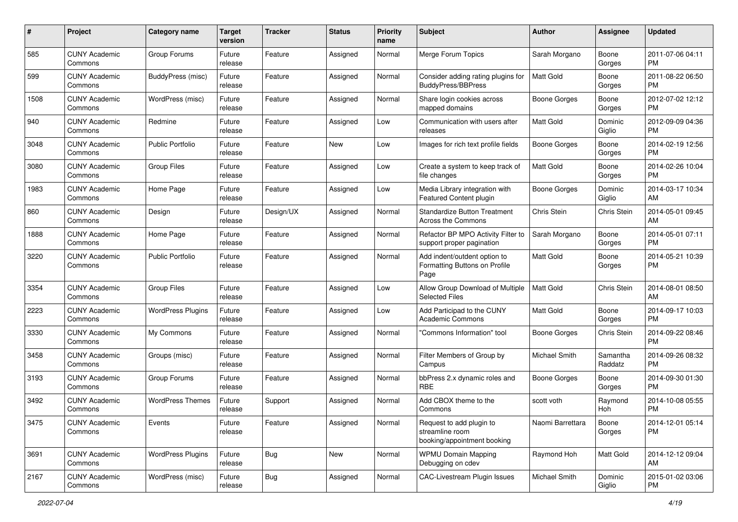| #    | Project                         | <b>Category name</b>     | <b>Target</b><br>version | <b>Tracker</b> | <b>Status</b> | Priority<br>name | <b>Subject</b>                                                             | <b>Author</b>       | <b>Assignee</b>     | <b>Updated</b>                |
|------|---------------------------------|--------------------------|--------------------------|----------------|---------------|------------------|----------------------------------------------------------------------------|---------------------|---------------------|-------------------------------|
| 585  | <b>CUNY Academic</b><br>Commons | Group Forums             | Future<br>release        | Feature        | Assigned      | Normal           | Merge Forum Topics                                                         | Sarah Morgano       | Boone<br>Gorges     | 2011-07-06 04:11<br>PM.       |
| 599  | <b>CUNY Academic</b><br>Commons | <b>BuddyPress (misc)</b> | Future<br>release        | Feature        | Assigned      | Normal           | Consider adding rating plugins for<br><b>BuddyPress/BBPress</b>            | <b>Matt Gold</b>    | Boone<br>Gorges     | 2011-08-22 06:50<br><b>PM</b> |
| 1508 | <b>CUNY Academic</b><br>Commons | WordPress (misc)         | Future<br>release        | Feature        | Assigned      | Normal           | Share login cookies across<br>mapped domains                               | <b>Boone Gorges</b> | Boone<br>Gorges     | 2012-07-02 12:12<br><b>PM</b> |
| 940  | <b>CUNY Academic</b><br>Commons | Redmine                  | Future<br>release        | Feature        | Assigned      | Low              | Communication with users after<br>releases                                 | <b>Matt Gold</b>    | Dominic<br>Giglio   | 2012-09-09 04:36<br><b>PM</b> |
| 3048 | <b>CUNY Academic</b><br>Commons | Public Portfolio         | Future<br>release        | Feature        | New           | Low              | Images for rich text profile fields                                        | Boone Gorges        | Boone<br>Gorges     | 2014-02-19 12:56<br><b>PM</b> |
| 3080 | <b>CUNY Academic</b><br>Commons | <b>Group Files</b>       | Future<br>release        | Feature        | Assigned      | Low              | Create a system to keep track of<br>file changes                           | Matt Gold           | Boone<br>Gorges     | 2014-02-26 10:04<br><b>PM</b> |
| 1983 | <b>CUNY Academic</b><br>Commons | Home Page                | Future<br>release        | Feature        | Assigned      | Low              | Media Library integration with<br><b>Featured Content plugin</b>           | <b>Boone Gorges</b> | Dominic<br>Giglio   | 2014-03-17 10:34<br>AM.       |
| 860  | <b>CUNY Academic</b><br>Commons | Design                   | Future<br>release        | Design/UX      | Assigned      | Normal           | <b>Standardize Button Treatment</b><br><b>Across the Commons</b>           | Chris Stein         | Chris Stein         | 2014-05-01 09:45<br>AM.       |
| 1888 | <b>CUNY Academic</b><br>Commons | Home Page                | Future<br>release        | Feature        | Assigned      | Normal           | Refactor BP MPO Activity Filter to<br>support proper pagination            | Sarah Morgano       | Boone<br>Gorges     | 2014-05-01 07:11<br><b>PM</b> |
| 3220 | <b>CUNY Academic</b><br>Commons | <b>Public Portfolio</b>  | Future<br>release        | Feature        | Assigned      | Normal           | Add indent/outdent option to<br>Formatting Buttons on Profile<br>Page      | Matt Gold           | Boone<br>Gorges     | 2014-05-21 10:39<br>PM.       |
| 3354 | <b>CUNY Academic</b><br>Commons | <b>Group Files</b>       | Future<br>release        | Feature        | Assigned      | Low              | Allow Group Download of Multiple<br><b>Selected Files</b>                  | <b>Matt Gold</b>    | Chris Stein         | 2014-08-01 08:50<br>AM.       |
| 2223 | <b>CUNY Academic</b><br>Commons | <b>WordPress Plugins</b> | Future<br>release        | Feature        | Assigned      | Low              | Add Participad to the CUNY<br><b>Academic Commons</b>                      | <b>Matt Gold</b>    | Boone<br>Gorges     | 2014-09-17 10:03<br>PM.       |
| 3330 | <b>CUNY Academic</b><br>Commons | My Commons               | Future<br>release        | Feature        | Assigned      | Normal           | 'Commons Information" tool                                                 | Boone Gorges        | Chris Stein         | 2014-09-22 08:46<br><b>PM</b> |
| 3458 | <b>CUNY Academic</b><br>Commons | Groups (misc)            | Future<br>release        | Feature        | Assigned      | Normal           | Filter Members of Group by<br>Campus                                       | Michael Smith       | Samantha<br>Raddatz | 2014-09-26 08:32<br><b>PM</b> |
| 3193 | <b>CUNY Academic</b><br>Commons | Group Forums             | Future<br>release        | Feature        | Assigned      | Normal           | bbPress 2.x dynamic roles and<br><b>RBE</b>                                | <b>Boone Gorges</b> | Boone<br>Gorges     | 2014-09-30 01:30<br><b>PM</b> |
| 3492 | <b>CUNY Academic</b><br>Commons | <b>WordPress Themes</b>  | Future<br>release        | Support        | Assigned      | Normal           | Add CBOX theme to the<br>Commons                                           | scott voth          | Raymond<br>Hoh      | 2014-10-08 05:55<br><b>PM</b> |
| 3475 | <b>CUNY Academic</b><br>Commons | Events                   | Future<br>release        | Feature        | Assigned      | Normal           | Request to add plugin to<br>streamline room<br>booking/appointment booking | Naomi Barrettara    | Boone<br>Gorges     | 2014-12-01 05:14<br><b>PM</b> |
| 3691 | <b>CUNY Academic</b><br>Commons | <b>WordPress Plugins</b> | Future<br>release        | <b>Bug</b>     | New           | Normal           | <b>WPMU Domain Mapping</b><br>Debugging on cdev                            | Raymond Hoh         | Matt Gold           | 2014-12-12 09:04<br>AM        |
| 2167 | <b>CUNY Academic</b><br>Commons | WordPress (misc)         | Future<br>release        | <b>Bug</b>     | Assigned      | Normal           | CAC-Livestream Plugin Issues                                               | Michael Smith       | Dominic<br>Giglio   | 2015-01-02 03:06<br><b>PM</b> |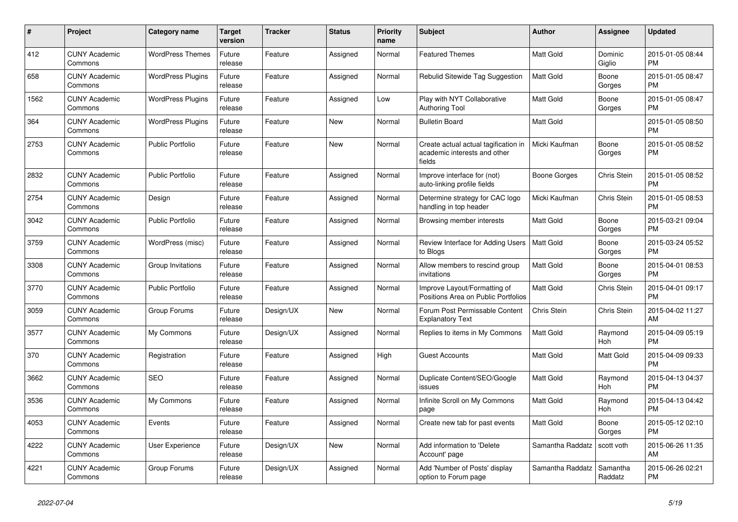| #    | <b>Project</b>                  | Category name            | <b>Target</b><br>version | <b>Tracker</b> | <b>Status</b> | <b>Priority</b><br>name | <b>Subject</b>                                                                 | <b>Author</b>    | Assignee            | <b>Updated</b>                |
|------|---------------------------------|--------------------------|--------------------------|----------------|---------------|-------------------------|--------------------------------------------------------------------------------|------------------|---------------------|-------------------------------|
| 412  | <b>CUNY Academic</b><br>Commons | <b>WordPress Themes</b>  | Future<br>release        | Feature        | Assigned      | Normal                  | <b>Featured Themes</b>                                                         | Matt Gold        | Dominic<br>Giglio   | 2015-01-05 08:44<br><b>PM</b> |
| 658  | <b>CUNY Academic</b><br>Commons | <b>WordPress Plugins</b> | Future<br>release        | Feature        | Assigned      | Normal                  | Rebulid Sitewide Tag Suggestion                                                | <b>Matt Gold</b> | Boone<br>Gorges     | 2015-01-05 08:47<br><b>PM</b> |
| 1562 | <b>CUNY Academic</b><br>Commons | <b>WordPress Plugins</b> | Future<br>release        | Feature        | Assigned      | Low                     | Play with NYT Collaborative<br><b>Authoring Tool</b>                           | Matt Gold        | Boone<br>Gorges     | 2015-01-05 08:47<br><b>PM</b> |
| 364  | <b>CUNY Academic</b><br>Commons | <b>WordPress Plugins</b> | Future<br>release        | Feature        | New           | Normal                  | <b>Bulletin Board</b>                                                          | <b>Matt Gold</b> |                     | 2015-01-05 08:50<br><b>PM</b> |
| 2753 | <b>CUNY Academic</b><br>Commons | <b>Public Portfolio</b>  | Future<br>release        | Feature        | New           | Normal                  | Create actual actual tagification in<br>academic interests and other<br>fields | Micki Kaufman    | Boone<br>Gorges     | 2015-01-05 08:52<br><b>PM</b> |
| 2832 | <b>CUNY Academic</b><br>Commons | <b>Public Portfolio</b>  | Future<br>release        | Feature        | Assigned      | Normal                  | Improve interface for (not)<br>auto-linking profile fields                     | Boone Gorges     | Chris Stein         | 2015-01-05 08:52<br><b>PM</b> |
| 2754 | <b>CUNY Academic</b><br>Commons | Design                   | Future<br>release        | Feature        | Assigned      | Normal                  | Determine strategy for CAC logo<br>handling in top header                      | Micki Kaufman    | Chris Stein         | 2015-01-05 08:53<br><b>PM</b> |
| 3042 | <b>CUNY Academic</b><br>Commons | <b>Public Portfolio</b>  | Future<br>release        | Feature        | Assigned      | Normal                  | Browsing member interests                                                      | Matt Gold        | Boone<br>Gorges     | 2015-03-21 09:04<br><b>PM</b> |
| 3759 | <b>CUNY Academic</b><br>Commons | WordPress (misc)         | Future<br>release        | Feature        | Assigned      | Normal                  | Review Interface for Adding Users<br>to Blogs                                  | Matt Gold        | Boone<br>Gorges     | 2015-03-24 05:52<br><b>PM</b> |
| 3308 | <b>CUNY Academic</b><br>Commons | Group Invitations        | Future<br>release        | Feature        | Assigned      | Normal                  | Allow members to rescind group<br>invitations                                  | <b>Matt Gold</b> | Boone<br>Gorges     | 2015-04-01 08:53<br><b>PM</b> |
| 3770 | <b>CUNY Academic</b><br>Commons | <b>Public Portfolio</b>  | Future<br>release        | Feature        | Assigned      | Normal                  | Improve Layout/Formatting of<br>Positions Area on Public Portfolios            | <b>Matt Gold</b> | Chris Stein         | 2015-04-01 09:17<br><b>PM</b> |
| 3059 | <b>CUNY Academic</b><br>Commons | Group Forums             | Future<br>release        | Design/UX      | New           | Normal                  | Forum Post Permissable Content<br><b>Explanatory Text</b>                      | Chris Stein      | Chris Stein         | 2015-04-02 11:27<br>AM        |
| 3577 | <b>CUNY Academic</b><br>Commons | My Commons               | Future<br>release        | Design/UX      | Assigned      | Normal                  | Replies to items in My Commons                                                 | <b>Matt Gold</b> | Raymond<br>Hoh      | 2015-04-09 05:19<br><b>PM</b> |
| 370  | <b>CUNY Academic</b><br>Commons | Registration             | Future<br>release        | Feature        | Assigned      | High                    | <b>Guest Accounts</b>                                                          | <b>Matt Gold</b> | Matt Gold           | 2015-04-09 09:33<br><b>PM</b> |
| 3662 | <b>CUNY Academic</b><br>Commons | <b>SEO</b>               | Future<br>release        | Feature        | Assigned      | Normal                  | Duplicate Content/SEO/Google<br>issues                                         | <b>Matt Gold</b> | Raymond<br>Hoh      | 2015-04-13 04:37<br><b>PM</b> |
| 3536 | <b>CUNY Academic</b><br>Commons | My Commons               | Future<br>release        | Feature        | Assigned      | Normal                  | Infinite Scroll on My Commons<br>page                                          | <b>Matt Gold</b> | Raymond<br>Hoh      | 2015-04-13 04:42<br><b>PM</b> |
| 4053 | <b>CUNY Academic</b><br>Commons | Events                   | Future<br>release        | Feature        | Assigned      | Normal                  | Create new tab for past events                                                 | Matt Gold        | Boone<br>Gorges     | 2015-05-12 02:10<br><b>PM</b> |
| 4222 | <b>CUNY Academic</b><br>Commons | User Experience          | Future<br>release        | Design/UX      | New           | Normal                  | Add information to 'Delete<br>Account' page                                    | Samantha Raddatz | scott voth          | 2015-06-26 11:35<br>AM        |
| 4221 | <b>CUNY Academic</b><br>Commons | Group Forums             | Future<br>release        | Design/UX      | Assigned      | Normal                  | Add 'Number of Posts' display<br>option to Forum page                          | Samantha Raddatz | Samantha<br>Raddatz | 2015-06-26 02:21<br><b>PM</b> |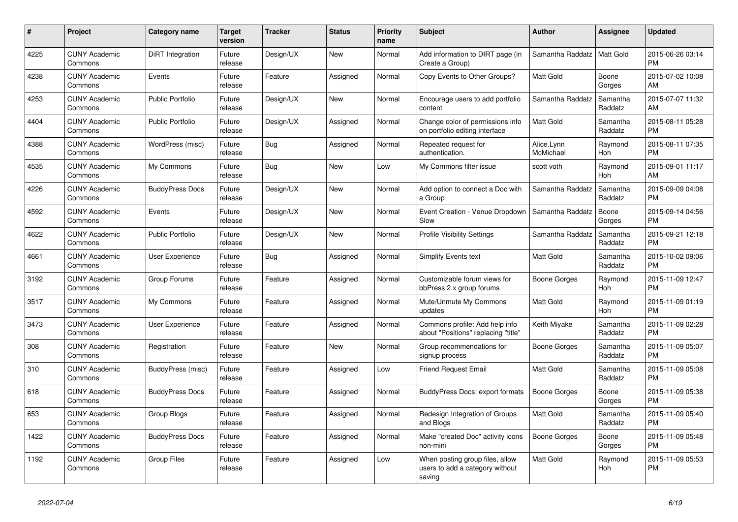| #    | <b>Project</b>                  | Category name           | <b>Target</b><br>version | <b>Tracker</b> | <b>Status</b> | <b>Priority</b><br>name | <b>Subject</b>                                                               | <b>Author</b>           | Assignee              | <b>Updated</b>                |
|------|---------------------------------|-------------------------|--------------------------|----------------|---------------|-------------------------|------------------------------------------------------------------------------|-------------------------|-----------------------|-------------------------------|
| 4225 | <b>CUNY Academic</b><br>Commons | DiRT Integration        | Future<br>release        | Design/UX      | New           | Normal                  | Add information to DIRT page (in<br>Create a Group)                          | Samantha Raddatz        | Matt Gold             | 2015-06-26 03:14<br><b>PM</b> |
| 4238 | <b>CUNY Academic</b><br>Commons | Events                  | Future<br>release        | Feature        | Assigned      | Normal                  | Copy Events to Other Groups?                                                 | Matt Gold               | Boone<br>Gorges       | 2015-07-02 10:08<br>AM        |
| 4253 | <b>CUNY Academic</b><br>Commons | <b>Public Portfolio</b> | Future<br>release        | Design/UX      | New           | Normal                  | Encourage users to add portfolio<br>content                                  | Samantha Raddatz        | Samantha<br>Raddatz   | 2015-07-07 11:32<br>AM        |
| 4404 | <b>CUNY Academic</b><br>Commons | <b>Public Portfolio</b> | Future<br>release        | Design/UX      | Assigned      | Normal                  | Change color of permissions info<br>on portfolio editing interface           | Matt Gold               | Samantha<br>Raddatz   | 2015-08-11 05:28<br><b>PM</b> |
| 4388 | <b>CUNY Academic</b><br>Commons | WordPress (misc)        | Future<br>release        | Bug            | Assigned      | Normal                  | Repeated request for<br>authentication.                                      | Alice.Lynn<br>McMichael | Raymond<br>Hoh        | 2015-08-11 07:35<br><b>PM</b> |
| 4535 | <b>CUNY Academic</b><br>Commons | My Commons              | Future<br>release        | Bug            | New           | Low                     | My Commons filter issue                                                      | scott voth              | Raymond<br><b>Hoh</b> | 2015-09-01 11:17<br>AM        |
| 4226 | <b>CUNY Academic</b><br>Commons | <b>BuddyPress Docs</b>  | Future<br>release        | Design/UX      | <b>New</b>    | Normal                  | Add option to connect a Doc with<br>a Group                                  | Samantha Raddatz        | Samantha<br>Raddatz   | 2015-09-09 04:08<br><b>PM</b> |
| 4592 | <b>CUNY Academic</b><br>Commons | Events                  | Future<br>release        | Design/UX      | <b>New</b>    | Normal                  | Event Creation - Venue Dropdown<br>Slow                                      | Samantha Raddatz        | Boone<br>Gorges       | 2015-09-14 04:56<br><b>PM</b> |
| 4622 | <b>CUNY Academic</b><br>Commons | <b>Public Portfolio</b> | Future<br>release        | Design/UX      | New           | Normal                  | <b>Profile Visibility Settings</b>                                           | Samantha Raddatz        | Samantha<br>Raddatz   | 2015-09-21 12:18<br><b>PM</b> |
| 4661 | <b>CUNY Academic</b><br>Commons | <b>User Experience</b>  | Future<br>release        | Bug            | Assigned      | Normal                  | Simplify Events text                                                         | <b>Matt Gold</b>        | Samantha<br>Raddatz   | 2015-10-02 09:06<br><b>PM</b> |
| 3192 | <b>CUNY Academic</b><br>Commons | Group Forums            | Future<br>release        | Feature        | Assigned      | Normal                  | Customizable forum views for<br>bbPress 2.x group forums                     | Boone Gorges            | Raymond<br>Hoh        | 2015-11-09 12:47<br><b>PM</b> |
| 3517 | <b>CUNY Academic</b><br>Commons | My Commons              | Future<br>release        | Feature        | Assigned      | Normal                  | Mute/Unmute My Commons<br>updates                                            | Matt Gold               | Raymond<br>Hoh        | 2015-11-09 01:19<br><b>PM</b> |
| 3473 | <b>CUNY Academic</b><br>Commons | <b>User Experience</b>  | Future<br>release        | Feature        | Assigned      | Normal                  | Commons profile: Add help info<br>about "Positions" replacing "title"        | Keith Miyake            | Samantha<br>Raddatz   | 2015-11-09 02:28<br><b>PM</b> |
| 308  | <b>CUNY Academic</b><br>Commons | Registration            | Future<br>release        | Feature        | <b>New</b>    | Normal                  | Group recommendations for<br>signup process                                  | Boone Gorges            | Samantha<br>Raddatz   | 2015-11-09 05:07<br><b>PM</b> |
| 310  | <b>CUNY Academic</b><br>Commons | BuddyPress (misc)       | Future<br>release        | Feature        | Assigned      | Low                     | <b>Friend Request Email</b>                                                  | Matt Gold               | Samantha<br>Raddatz   | 2015-11-09 05:08<br><b>PM</b> |
| 618  | <b>CUNY Academic</b><br>Commons | <b>BuddyPress Docs</b>  | Future<br>release        | Feature        | Assigned      | Normal                  | <b>BuddyPress Docs: export formats</b>                                       | <b>Boone Gorges</b>     | Boone<br>Gorges       | 2015-11-09 05:38<br><b>PM</b> |
| 653  | <b>CUNY Academic</b><br>Commons | Group Blogs             | Future<br>release        | Feature        | Assigned      | Normal                  | Redesign Integration of Groups<br>and Blogs                                  | <b>Matt Gold</b>        | Samantha<br>Raddatz   | 2015-11-09 05:40<br><b>PM</b> |
| 1422 | <b>CUNY Academic</b><br>Commons | <b>BuddyPress Docs</b>  | Future<br>release        | Feature        | Assigned      | Normal                  | Make "created Doc" activity icons<br>non-mini                                | <b>Boone Gorges</b>     | Boone<br>Gorges       | 2015-11-09 05:48<br><b>PM</b> |
| 1192 | <b>CUNY Academic</b><br>Commons | <b>Group Files</b>      | Future<br>release        | Feature        | Assigned      | Low                     | When posting group files, allow<br>users to add a category without<br>saving | Matt Gold               | Raymond<br>Hoh        | 2015-11-09 05:53<br><b>PM</b> |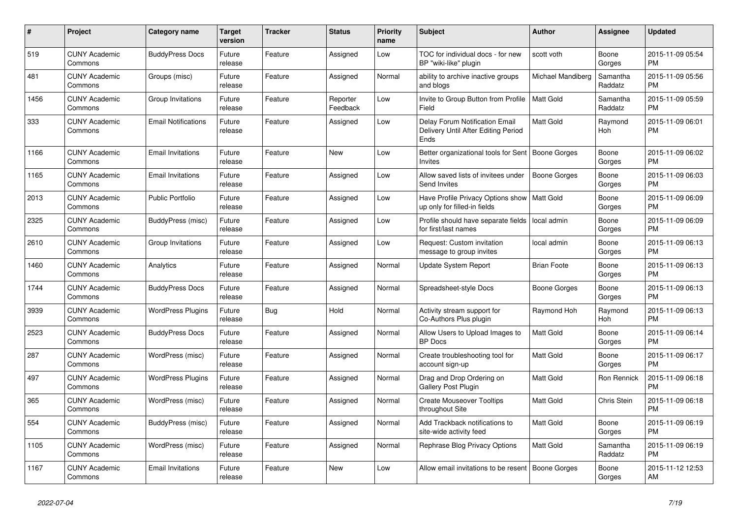| #    | Project                         | Category name              | <b>Target</b><br>version | <b>Tracker</b> | <b>Status</b>        | <b>Priority</b><br>name | <b>Subject</b>                                                                | <b>Author</b>       | Assignee            | <b>Updated</b>                |
|------|---------------------------------|----------------------------|--------------------------|----------------|----------------------|-------------------------|-------------------------------------------------------------------------------|---------------------|---------------------|-------------------------------|
| 519  | <b>CUNY Academic</b><br>Commons | <b>BuddyPress Docs</b>     | Future<br>release        | Feature        | Assigned             | Low                     | TOC for individual docs - for new<br>BP "wiki-like" plugin                    | scott voth          | Boone<br>Gorges     | 2015-11-09 05:54<br><b>PM</b> |
| 481  | <b>CUNY Academic</b><br>Commons | Groups (misc)              | Future<br>release        | Feature        | Assigned             | Normal                  | ability to archive inactive groups<br>and blogs                               | Michael Mandiberg   | Samantha<br>Raddatz | 2015-11-09 05:56<br><b>PM</b> |
| 1456 | <b>CUNY Academic</b><br>Commons | Group Invitations          | Future<br>release        | Feature        | Reporter<br>Feedback | Low                     | Invite to Group Button from Profile<br>Field                                  | <b>Matt Gold</b>    | Samantha<br>Raddatz | 2015-11-09 05:59<br><b>PM</b> |
| 333  | <b>CUNY Academic</b><br>Commons | <b>Email Notifications</b> | Future<br>release        | Feature        | Assigned             | Low                     | Delay Forum Notification Email<br>Delivery Until After Editing Period<br>Ends | <b>Matt Gold</b>    | Raymond<br>Hoh      | 2015-11-09 06:01<br><b>PM</b> |
| 1166 | <b>CUNY Academic</b><br>Commons | <b>Email Invitations</b>   | Future<br>release        | Feature        | New                  | Low                     | Better organizational tools for Sent   Boone Gorges<br><b>Invites</b>         |                     | Boone<br>Gorges     | 2015-11-09 06:02<br><b>PM</b> |
| 1165 | <b>CUNY Academic</b><br>Commons | <b>Email Invitations</b>   | Future<br>release        | Feature        | Assigned             | Low                     | Allow saved lists of invitees under<br>Send Invites                           | Boone Gorges        | Boone<br>Gorges     | 2015-11-09 06:03<br><b>PM</b> |
| 2013 | <b>CUNY Academic</b><br>Commons | <b>Public Portfolio</b>    | Future<br>release        | Feature        | Assigned             | Low                     | Have Profile Privacy Options show<br>up only for filled-in fields             | <b>Matt Gold</b>    | Boone<br>Gorges     | 2015-11-09 06:09<br><b>PM</b> |
| 2325 | <b>CUNY Academic</b><br>Commons | BuddyPress (misc)          | Future<br>release        | Feature        | Assigned             | Low                     | Profile should have separate fields<br>for first/last names                   | local admin         | Boone<br>Gorges     | 2015-11-09 06:09<br><b>PM</b> |
| 2610 | <b>CUNY Academic</b><br>Commons | Group Invitations          | Future<br>release        | Feature        | Assigned             | Low                     | Request: Custom invitation<br>message to group invites                        | local admin         | Boone<br>Gorges     | 2015-11-09 06:13<br><b>PM</b> |
| 1460 | <b>CUNY Academic</b><br>Commons | Analytics                  | Future<br>release        | Feature        | Assigned             | Normal                  | Update System Report                                                          | <b>Brian Foote</b>  | Boone<br>Gorges     | 2015-11-09 06:13<br><b>PM</b> |
| 1744 | <b>CUNY Academic</b><br>Commons | <b>BuddyPress Docs</b>     | Future<br>release        | Feature        | Assigned             | Normal                  | Spreadsheet-style Docs                                                        | <b>Boone Gorges</b> | Boone<br>Gorges     | 2015-11-09 06:13<br><b>PM</b> |
| 3939 | <b>CUNY Academic</b><br>Commons | <b>WordPress Plugins</b>   | Future<br>release        | Bug            | Hold                 | Normal                  | Activity stream support for<br>Co-Authors Plus plugin                         | Raymond Hoh         | Raymond<br>Hoh      | 2015-11-09 06:13<br><b>PM</b> |
| 2523 | <b>CUNY Academic</b><br>Commons | <b>BuddyPress Docs</b>     | Future<br>release        | Feature        | Assigned             | Normal                  | Allow Users to Upload Images to<br><b>BP</b> Docs                             | <b>Matt Gold</b>    | Boone<br>Gorges     | 2015-11-09 06:14<br><b>PM</b> |
| 287  | <b>CUNY Academic</b><br>Commons | WordPress (misc)           | Future<br>release        | Feature        | Assigned             | Normal                  | Create troubleshooting tool for<br>account sign-up                            | Matt Gold           | Boone<br>Gorges     | 2015-11-09 06:17<br><b>PM</b> |
| 497  | <b>CUNY Academic</b><br>Commons | <b>WordPress Plugins</b>   | Future<br>release        | Feature        | Assigned             | Normal                  | Drag and Drop Ordering on<br>Gallery Post Plugin                              | Matt Gold           | Ron Rennick         | 2015-11-09 06:18<br><b>PM</b> |
| 365  | <b>CUNY Academic</b><br>Commons | WordPress (misc)           | Future<br>release        | Feature        | Assigned             | Normal                  | <b>Create Mouseover Tooltips</b><br>throughout Site                           | Matt Gold           | Chris Stein         | 2015-11-09 06:18<br><b>PM</b> |
| 554  | <b>CUNY Academic</b><br>Commons | BuddyPress (misc)          | Future<br>release        | Feature        | Assigned             | Normal                  | Add Trackback notifications to<br>site-wide activity feed                     | <b>Matt Gold</b>    | Boone<br>Gorges     | 2015-11-09 06:19<br><b>PM</b> |
| 1105 | <b>CUNY Academic</b><br>Commons | WordPress (misc)           | Future<br>release        | Feature        | Assigned             | Normal                  | Rephrase Blog Privacy Options                                                 | <b>Matt Gold</b>    | Samantha<br>Raddatz | 2015-11-09 06:19<br><b>PM</b> |
| 1167 | <b>CUNY Academic</b><br>Commons | <b>Email Invitations</b>   | Future<br>release        | Feature        | <b>New</b>           | Low                     | Allow email invitations to be resent   Boone Gorges                           |                     | Boone<br>Gorges     | 2015-11-12 12:53<br>AM        |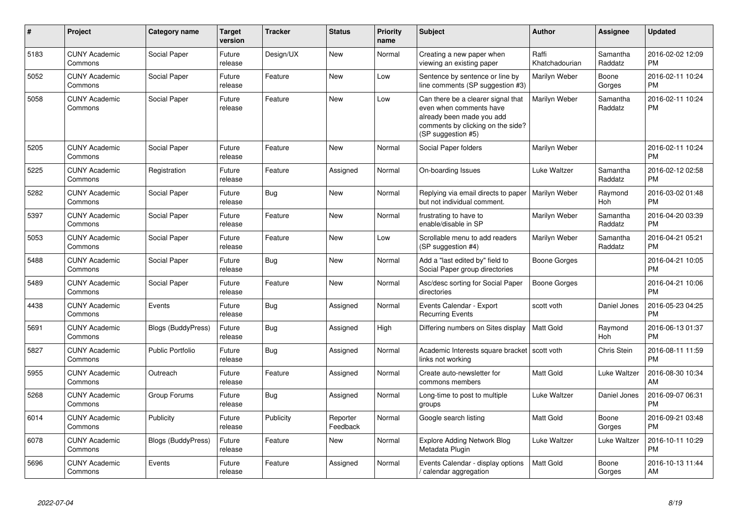| #    | Project                         | <b>Category name</b>      | <b>Target</b><br>version | <b>Tracker</b> | <b>Status</b>        | <b>Priority</b><br>name | <b>Subject</b>                                                                                                                                        | <b>Author</b>           | <b>Assignee</b>     | <b>Updated</b>                |
|------|---------------------------------|---------------------------|--------------------------|----------------|----------------------|-------------------------|-------------------------------------------------------------------------------------------------------------------------------------------------------|-------------------------|---------------------|-------------------------------|
| 5183 | <b>CUNY Academic</b><br>Commons | Social Paper              | Future<br>release        | Design/UX      | <b>New</b>           | Normal                  | Creating a new paper when<br>viewing an existing paper                                                                                                | Raffi<br>Khatchadourian | Samantha<br>Raddatz | 2016-02-02 12:09<br><b>PM</b> |
| 5052 | <b>CUNY Academic</b><br>Commons | Social Paper              | Future<br>release        | Feature        | <b>New</b>           | Low                     | Sentence by sentence or line by<br>line comments (SP suggestion #3)                                                                                   | Marilyn Weber           | Boone<br>Gorges     | 2016-02-11 10:24<br><b>PM</b> |
| 5058 | <b>CUNY Academic</b><br>Commons | Social Paper              | Future<br>release        | Feature        | New                  | Low                     | Can there be a clearer signal that<br>even when comments have<br>already been made you add<br>comments by clicking on the side?<br>(SP suggestion #5) | Marilyn Weber           | Samantha<br>Raddatz | 2016-02-11 10:24<br><b>PM</b> |
| 5205 | <b>CUNY Academic</b><br>Commons | Social Paper              | Future<br>release        | Feature        | <b>New</b>           | Normal                  | Social Paper folders                                                                                                                                  | Marilyn Weber           |                     | 2016-02-11 10:24<br><b>PM</b> |
| 5225 | <b>CUNY Academic</b><br>Commons | Registration              | Future<br>release        | Feature        | Assigned             | Normal                  | On-boarding Issues                                                                                                                                    | Luke Waltzer            | Samantha<br>Raddatz | 2016-02-12 02:58<br><b>PM</b> |
| 5282 | <b>CUNY Academic</b><br>Commons | Social Paper              | Future<br>release        | <b>Bug</b>     | New                  | Normal                  | Replying via email directs to paper<br>but not individual comment.                                                                                    | Marilyn Weber           | Raymond<br>Hoh      | 2016-03-02 01:48<br><b>PM</b> |
| 5397 | <b>CUNY Academic</b><br>Commons | Social Paper              | Future<br>release        | Feature        | New                  | Normal                  | frustrating to have to<br>enable/disable in SP                                                                                                        | Marilyn Weber           | Samantha<br>Raddatz | 2016-04-20 03:39<br><b>PM</b> |
| 5053 | <b>CUNY Academic</b><br>Commons | Social Paper              | Future<br>release        | Feature        | <b>New</b>           | Low                     | Scrollable menu to add readers<br>(SP suggestion #4)                                                                                                  | Marilyn Weber           | Samantha<br>Raddatz | 2016-04-21 05:21<br><b>PM</b> |
| 5488 | <b>CUNY Academic</b><br>Commons | Social Paper              | Future<br>release        | Bug            | <b>New</b>           | Normal                  | Add a "last edited by" field to<br>Social Paper group directories                                                                                     | Boone Gorges            |                     | 2016-04-21 10:05<br><b>PM</b> |
| 5489 | <b>CUNY Academic</b><br>Commons | Social Paper              | Future<br>release        | Feature        | <b>New</b>           | Normal                  | Asc/desc sorting for Social Paper<br>directories                                                                                                      | Boone Gorges            |                     | 2016-04-21 10:06<br><b>PM</b> |
| 4438 | <b>CUNY Academic</b><br>Commons | Events                    | Future<br>release        | <b>Bug</b>     | Assigned             | Normal                  | Events Calendar - Export<br><b>Recurring Events</b>                                                                                                   | scott voth              | Daniel Jones        | 2016-05-23 04:25<br><b>PM</b> |
| 5691 | <b>CUNY Academic</b><br>Commons | <b>Blogs (BuddyPress)</b> | Future<br>release        | Bug            | Assigned             | High                    | Differing numbers on Sites display                                                                                                                    | <b>Matt Gold</b>        | Raymond<br>Hoh      | 2016-06-13 01:37<br><b>PM</b> |
| 5827 | <b>CUNY Academic</b><br>Commons | <b>Public Portfolio</b>   | Future<br>release        | Bug            | Assigned             | Normal                  | Academic Interests square bracket   scott voth<br>links not working                                                                                   |                         | Chris Stein         | 2016-08-11 11:59<br><b>PM</b> |
| 5955 | <b>CUNY Academic</b><br>Commons | Outreach                  | Future<br>release        | Feature        | Assigned             | Normal                  | Create auto-newsletter for<br>commons members                                                                                                         | <b>Matt Gold</b>        | Luke Waltzer        | 2016-08-30 10:34<br>AM        |
| 5268 | <b>CUNY Academic</b><br>Commons | Group Forums              | Future<br>release        | Bug            | Assigned             | Normal                  | Long-time to post to multiple<br>groups                                                                                                               | Luke Waltzer            | Daniel Jones        | 2016-09-07 06:31<br><b>PM</b> |
| 6014 | <b>CUNY Academic</b><br>Commons | Publicity                 | Future<br>release        | Publicity      | Reporter<br>Feedback | Normal                  | Google search listing                                                                                                                                 | <b>Matt Gold</b>        | Boone<br>Gorges     | 2016-09-21 03:48<br><b>PM</b> |
| 6078 | <b>CUNY Academic</b><br>Commons | Blogs (BuddyPress)        | Future<br>release        | Feature        | New                  | Normal                  | <b>Explore Adding Network Blog</b><br>Metadata Plugin                                                                                                 | Luke Waltzer            | Luke Waltzer        | 2016-10-11 10:29<br><b>PM</b> |
| 5696 | <b>CUNY Academic</b><br>Commons | Events                    | Future<br>release        | Feature        | Assigned             | Normal                  | Events Calendar - display options<br>/ calendar aggregation                                                                                           | <b>Matt Gold</b>        | Boone<br>Gorges     | 2016-10-13 11:44<br>AM        |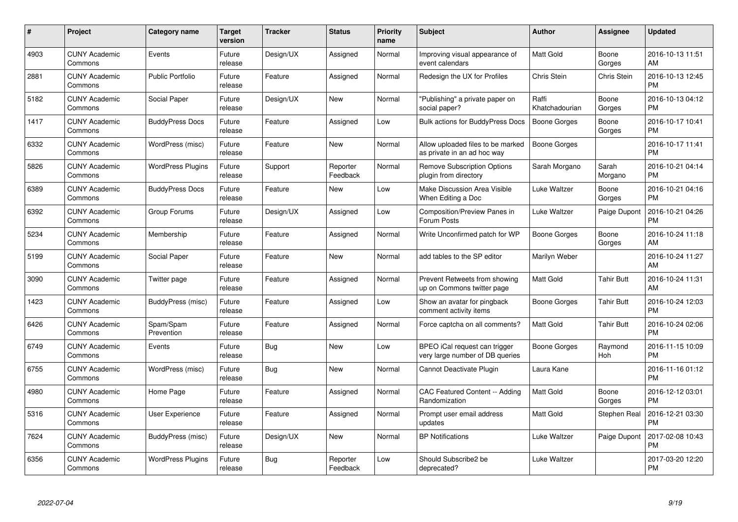| $\#$ | Project                         | <b>Category name</b>     | Target<br>version | <b>Tracker</b> | <b>Status</b>        | Priority<br>name | <b>Subject</b>                                                   | <b>Author</b>           | <b>Assignee</b>    | <b>Updated</b>                |
|------|---------------------------------|--------------------------|-------------------|----------------|----------------------|------------------|------------------------------------------------------------------|-------------------------|--------------------|-------------------------------|
| 4903 | <b>CUNY Academic</b><br>Commons | Events                   | Future<br>release | Design/UX      | Assigned             | Normal           | Improving visual appearance of<br>event calendars                | <b>Matt Gold</b>        | Boone<br>Gorges    | 2016-10-13 11:51<br>AM        |
| 2881 | <b>CUNY Academic</b><br>Commons | <b>Public Portfolio</b>  | Future<br>release | Feature        | Assigned             | Normal           | Redesign the UX for Profiles                                     | Chris Stein             | <b>Chris Stein</b> | 2016-10-13 12:45<br><b>PM</b> |
| 5182 | <b>CUNY Academic</b><br>Commons | Social Paper             | Future<br>release | Design/UX      | New                  | Normal           | "Publishing" a private paper on<br>social paper?                 | Raffi<br>Khatchadourian | Boone<br>Gorges    | 2016-10-13 04:12<br><b>PM</b> |
| 1417 | <b>CUNY Academic</b><br>Commons | <b>BuddyPress Docs</b>   | Future<br>release | Feature        | Assigned             | Low              | Bulk actions for BuddyPress Docs                                 | <b>Boone Gorges</b>     | Boone<br>Gorges    | 2016-10-17 10:41<br><b>PM</b> |
| 6332 | <b>CUNY Academic</b><br>Commons | WordPress (misc)         | Future<br>release | Feature        | <b>New</b>           | Normal           | Allow uploaded files to be marked<br>as private in an ad hoc way | Boone Gorges            |                    | 2016-10-17 11:41<br><b>PM</b> |
| 5826 | <b>CUNY Academic</b><br>Commons | <b>WordPress Plugins</b> | Future<br>release | Support        | Reporter<br>Feedback | Normal           | <b>Remove Subscription Options</b><br>plugin from directory      | Sarah Morgano           | Sarah<br>Morgano   | 2016-10-21 04:14<br><b>PM</b> |
| 6389 | <b>CUNY Academic</b><br>Commons | <b>BuddyPress Docs</b>   | Future<br>release | Feature        | <b>New</b>           | Low              | <b>Make Discussion Area Visible</b><br>When Editing a Doc        | Luke Waltzer            | Boone<br>Gorges    | 2016-10-21 04:16<br><b>PM</b> |
| 6392 | <b>CUNY Academic</b><br>Commons | Group Forums             | Future<br>release | Design/UX      | Assigned             | Low              | Composition/Preview Panes in<br>Forum Posts                      | Luke Waltzer            | Paige Dupont       | 2016-10-21 04:26<br><b>PM</b> |
| 5234 | <b>CUNY Academic</b><br>Commons | Membership               | Future<br>release | Feature        | Assigned             | Normal           | Write Unconfirmed patch for WP                                   | Boone Gorges            | Boone<br>Gorges    | 2016-10-24 11:18<br>AM        |
| 5199 | <b>CUNY Academic</b><br>Commons | Social Paper             | Future<br>release | Feature        | <b>New</b>           | Normal           | add tables to the SP editor                                      | Marilyn Weber           |                    | 2016-10-24 11:27<br>AM        |
| 3090 | <b>CUNY Academic</b><br>Commons | Twitter page             | Future<br>release | Feature        | Assigned             | Normal           | Prevent Retweets from showing<br>up on Commons twitter page      | Matt Gold               | Tahir Butt         | 2016-10-24 11:31<br>AM        |
| 1423 | <b>CUNY Academic</b><br>Commons | BuddyPress (misc)        | Future<br>release | Feature        | Assigned             | Low              | Show an avatar for pingback<br>comment activity items            | Boone Gorges            | <b>Tahir Butt</b>  | 2016-10-24 12:03<br><b>PM</b> |
| 6426 | <b>CUNY Academic</b><br>Commons | Spam/Spam<br>Prevention  | Future<br>release | Feature        | Assigned             | Normal           | Force captcha on all comments?                                   | <b>Matt Gold</b>        | <b>Tahir Butt</b>  | 2016-10-24 02:06<br><b>PM</b> |
| 6749 | <b>CUNY Academic</b><br>Commons | Events                   | Future<br>release | Bug            | New                  | Low              | BPEO iCal request can trigger<br>very large number of DB queries | <b>Boone Gorges</b>     | Raymond<br>Hoh     | 2016-11-15 10:09<br><b>PM</b> |
| 6755 | <b>CUNY Academic</b><br>Commons | WordPress (misc)         | Future<br>release | Bug            | New                  | Normal           | Cannot Deactivate Plugin                                         | Laura Kane              |                    | 2016-11-16 01:12<br><b>PM</b> |
| 4980 | <b>CUNY Academic</b><br>Commons | Home Page                | Future<br>release | Feature        | Assigned             | Normal           | CAC Featured Content -- Adding<br>Randomization                  | Matt Gold               | Boone<br>Gorges    | 2016-12-12 03:01<br><b>PM</b> |
| 5316 | <b>CUNY Academic</b><br>Commons | User Experience          | Future<br>release | Feature        | Assigned             | Normal           | Prompt user email address<br>updates                             | <b>Matt Gold</b>        | Stephen Real       | 2016-12-21 03:30<br><b>PM</b> |
| 7624 | <b>CUNY Academic</b><br>Commons | BuddyPress (misc)        | Future<br>release | Design/UX      | New                  | Normal           | <b>BP Notifications</b>                                          | Luke Waltzer            | Paige Dupont       | 2017-02-08 10:43<br><b>PM</b> |
| 6356 | <b>CUNY Academic</b><br>Commons | <b>WordPress Plugins</b> | Future<br>release | Bug            | Reporter<br>Feedback | Low              | Should Subscribe2 be<br>deprecated?                              | Luke Waltzer            |                    | 2017-03-20 12:20<br><b>PM</b> |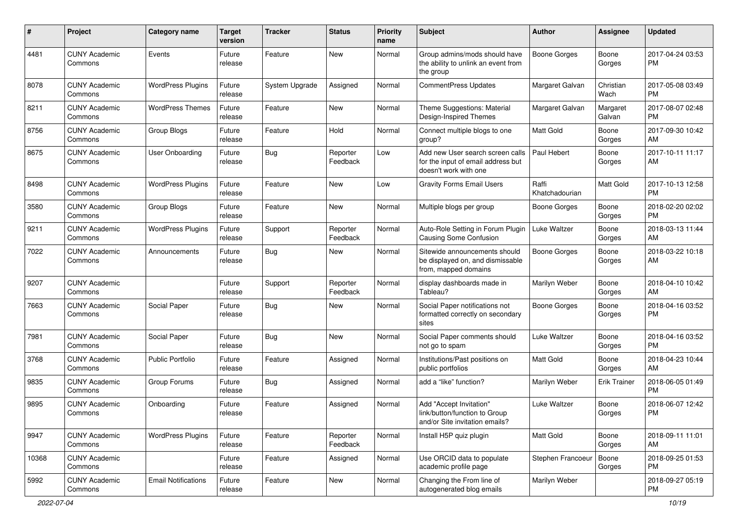| $\#$  | Project                         | <b>Category name</b>       | <b>Target</b><br>version | <b>Tracker</b> | <b>Status</b>        | <b>Priority</b><br>name | <b>Subject</b>                                                                                  | Author                  | Assignee            | <b>Updated</b>                |
|-------|---------------------------------|----------------------------|--------------------------|----------------|----------------------|-------------------------|-------------------------------------------------------------------------------------------------|-------------------------|---------------------|-------------------------------|
| 4481  | <b>CUNY Academic</b><br>Commons | Events                     | Future<br>release        | Feature        | <b>New</b>           | Normal                  | Group admins/mods should have<br>the ability to unlink an event from<br>the group               | <b>Boone Gorges</b>     | Boone<br>Gorges     | 2017-04-24 03:53<br><b>PM</b> |
| 8078  | <b>CUNY Academic</b><br>Commons | <b>WordPress Plugins</b>   | Future<br>release        | System Upgrade | Assigned             | Normal                  | <b>CommentPress Updates</b>                                                                     | Margaret Galvan         | Christian<br>Wach   | 2017-05-08 03:49<br><b>PM</b> |
| 8211  | <b>CUNY Academic</b><br>Commons | <b>WordPress Themes</b>    | Future<br>release        | Feature        | New                  | Normal                  | Theme Suggestions: Material<br>Design-Inspired Themes                                           | Margaret Galvan         | Margaret<br>Galvan  | 2017-08-07 02:48<br><b>PM</b> |
| 8756  | <b>CUNY Academic</b><br>Commons | Group Blogs                | Future<br>release        | Feature        | Hold                 | Normal                  | Connect multiple blogs to one<br>group?                                                         | Matt Gold               | Boone<br>Gorges     | 2017-09-30 10:42<br>AM        |
| 8675  | <b>CUNY Academic</b><br>Commons | User Onboarding            | Future<br>release        | Bug            | Reporter<br>Feedback | Low                     | Add new User search screen calls<br>for the input of email address but<br>doesn't work with one | Paul Hebert             | Boone<br>Gorges     | 2017-10-11 11:17<br>AM        |
| 8498  | <b>CUNY Academic</b><br>Commons | <b>WordPress Plugins</b>   | Future<br>release        | Feature        | <b>New</b>           | Low                     | <b>Gravity Forms Email Users</b>                                                                | Raffi<br>Khatchadourian | Matt Gold           | 2017-10-13 12:58<br><b>PM</b> |
| 3580  | <b>CUNY Academic</b><br>Commons | Group Blogs                | Future<br>release        | Feature        | <b>New</b>           | Normal                  | Multiple blogs per group                                                                        | <b>Boone Gorges</b>     | Boone<br>Gorges     | 2018-02-20 02:02<br><b>PM</b> |
| 9211  | <b>CUNY Academic</b><br>Commons | <b>WordPress Plugins</b>   | Future<br>release        | Support        | Reporter<br>Feedback | Normal                  | Auto-Role Setting in Forum Plugin<br><b>Causing Some Confusion</b>                              | Luke Waltzer            | Boone<br>Gorges     | 2018-03-13 11:44<br>AM        |
| 7022  | <b>CUNY Academic</b><br>Commons | Announcements              | Future<br>release        | Bug            | New                  | Normal                  | Sitewide announcements should<br>be displayed on, and dismissable<br>from, mapped domains       | Boone Gorges            | Boone<br>Gorges     | 2018-03-22 10:18<br>AM        |
| 9207  | <b>CUNY Academic</b><br>Commons |                            | Future<br>release        | Support        | Reporter<br>Feedback | Normal                  | display dashboards made in<br>Tableau?                                                          | Marilyn Weber           | Boone<br>Gorges     | 2018-04-10 10:42<br>AM        |
| 7663  | <b>CUNY Academic</b><br>Commons | Social Paper               | Future<br>release        | Bug            | New                  | Normal                  | Social Paper notifications not<br>formatted correctly on secondary<br>sites                     | <b>Boone Gorges</b>     | Boone<br>Gorges     | 2018-04-16 03:52<br><b>PM</b> |
| 7981  | <b>CUNY Academic</b><br>Commons | Social Paper               | Future<br>release        | Bug            | <b>New</b>           | Normal                  | Social Paper comments should<br>not go to spam                                                  | Luke Waltzer            | Boone<br>Gorges     | 2018-04-16 03:52<br><b>PM</b> |
| 3768  | <b>CUNY Academic</b><br>Commons | Public Portfolio           | Future<br>release        | Feature        | Assigned             | Normal                  | Institutions/Past positions on<br>public portfolios                                             | <b>Matt Gold</b>        | Boone<br>Gorges     | 2018-04-23 10:44<br>AM        |
| 9835  | <b>CUNY Academic</b><br>Commons | Group Forums               | Future<br>release        | Bug            | Assigned             | Normal                  | add a "like" function?                                                                          | Marilyn Weber           | <b>Erik Trainer</b> | 2018-06-05 01:49<br><b>PM</b> |
| 9895  | <b>CUNY Academic</b><br>Commons | Onboarding                 | Future<br>release        | Feature        | Assigned             | Normal                  | Add "Accept Invitation"<br>link/button/function to Group<br>and/or Site invitation emails?      | Luke Waltzer            | Boone<br>Gorges     | 2018-06-07 12:42<br><b>PM</b> |
| 9947  | <b>CUNY Academic</b><br>Commons | <b>WordPress Plugins</b>   | Future<br>release        | Feature        | Reporter<br>Feedback | Normal                  | Install H5P quiz plugin                                                                         | Matt Gold               | Boone<br>Gorges     | 2018-09-11 11:01<br>AM        |
| 10368 | <b>CUNY Academic</b><br>Commons |                            | Future<br>release        | Feature        | Assigned             | Normal                  | Use ORCID data to populate<br>academic profile page                                             | Stephen Francoeur       | Boone<br>Gorges     | 2018-09-25 01:53<br>PM.       |
| 5992  | <b>CUNY Academic</b><br>Commons | <b>Email Notifications</b> | Future<br>release        | Feature        | New                  | Normal                  | Changing the From line of<br>autogenerated blog emails                                          | Marilyn Weber           |                     | 2018-09-27 05:19<br>PM        |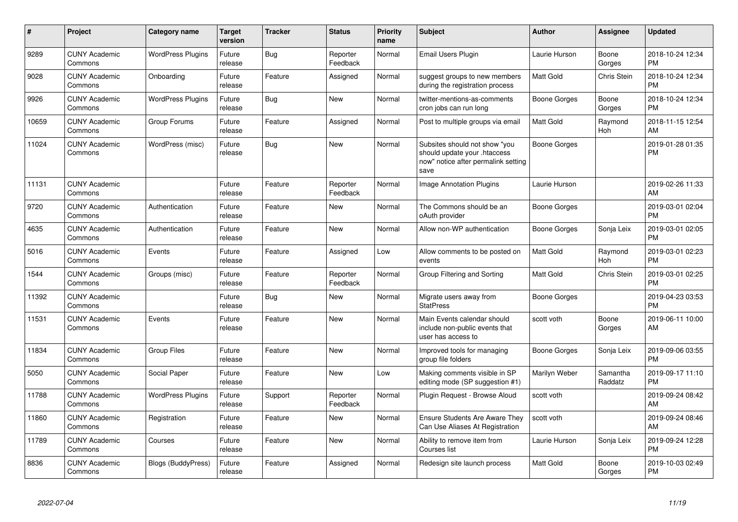| #     | Project                         | Category name            | <b>Target</b><br>version | <b>Tracker</b> | <b>Status</b>        | <b>Priority</b><br>name | <b>Subject</b>                                                                                               | <b>Author</b>    | Assignee            | <b>Updated</b>                |
|-------|---------------------------------|--------------------------|--------------------------|----------------|----------------------|-------------------------|--------------------------------------------------------------------------------------------------------------|------------------|---------------------|-------------------------------|
| 9289  | <b>CUNY Academic</b><br>Commons | <b>WordPress Plugins</b> | Future<br>release        | Bug            | Reporter<br>Feedback | Normal                  | Email Users Plugin                                                                                           | Laurie Hurson    | Boone<br>Gorges     | 2018-10-24 12:34<br><b>PM</b> |
| 9028  | <b>CUNY Academic</b><br>Commons | Onboarding               | Future<br>release        | Feature        | Assigned             | Normal                  | suggest groups to new members<br>during the registration process                                             | <b>Matt Gold</b> | Chris Stein         | 2018-10-24 12:34<br><b>PM</b> |
| 9926  | <b>CUNY Academic</b><br>Commons | <b>WordPress Plugins</b> | Future<br>release        | <b>Bug</b>     | <b>New</b>           | Normal                  | twitter-mentions-as-comments<br>cron jobs can run long                                                       | Boone Gorges     | Boone<br>Gorges     | 2018-10-24 12:34<br><b>PM</b> |
| 10659 | <b>CUNY Academic</b><br>Commons | Group Forums             | Future<br>release        | Feature        | Assigned             | Normal                  | Post to multiple groups via email                                                                            | <b>Matt Gold</b> | Raymond<br>Hoh      | 2018-11-15 12:54<br>AM        |
| 11024 | <b>CUNY Academic</b><br>Commons | WordPress (misc)         | Future<br>release        | Bug            | New                  | Normal                  | Subsites should not show "you<br>should update your .htaccess<br>now" notice after permalink setting<br>save | Boone Gorges     |                     | 2019-01-28 01:35<br><b>PM</b> |
| 11131 | <b>CUNY Academic</b><br>Commons |                          | Future<br>release        | Feature        | Reporter<br>Feedback | Normal                  | <b>Image Annotation Plugins</b>                                                                              | Laurie Hurson    |                     | 2019-02-26 11:33<br>AM        |
| 9720  | <b>CUNY Academic</b><br>Commons | Authentication           | Future<br>release        | Feature        | <b>New</b>           | Normal                  | The Commons should be an<br>oAuth provider                                                                   | Boone Gorges     |                     | 2019-03-01 02:04<br><b>PM</b> |
| 4635  | <b>CUNY Academic</b><br>Commons | Authentication           | Future<br>release        | Feature        | New                  | Normal                  | Allow non-WP authentication                                                                                  | Boone Gorges     | Sonja Leix          | 2019-03-01 02:05<br><b>PM</b> |
| 5016  | <b>CUNY Academic</b><br>Commons | Events                   | Future<br>release        | Feature        | Assigned             | Low                     | Allow comments to be posted on<br>events                                                                     | <b>Matt Gold</b> | Raymond<br>Hoh      | 2019-03-01 02:23<br><b>PM</b> |
| 1544  | <b>CUNY Academic</b><br>Commons | Groups (misc)            | Future<br>release        | Feature        | Reporter<br>Feedback | Normal                  | Group Filtering and Sorting                                                                                  | <b>Matt Gold</b> | Chris Stein         | 2019-03-01 02:25<br><b>PM</b> |
| 11392 | <b>CUNY Academic</b><br>Commons |                          | Future<br>release        | Bug            | <b>New</b>           | Normal                  | Migrate users away from<br><b>StatPress</b>                                                                  | Boone Gorges     |                     | 2019-04-23 03:53<br><b>PM</b> |
| 11531 | <b>CUNY Academic</b><br>Commons | Events                   | Future<br>release        | Feature        | <b>New</b>           | Normal                  | Main Events calendar should<br>include non-public events that<br>user has access to                          | scott voth       | Boone<br>Gorges     | 2019-06-11 10:00<br>AM        |
| 11834 | <b>CUNY Academic</b><br>Commons | <b>Group Files</b>       | Future<br>release        | Feature        | <b>New</b>           | Normal                  | Improved tools for managing<br>group file folders                                                            | Boone Gorges     | Sonja Leix          | 2019-09-06 03:55<br><b>PM</b> |
| 5050  | <b>CUNY Academic</b><br>Commons | Social Paper             | Future<br>release        | Feature        | <b>New</b>           | Low                     | Making comments visible in SP<br>editing mode (SP suggestion #1)                                             | Marilyn Weber    | Samantha<br>Raddatz | 2019-09-17 11:10<br><b>PM</b> |
| 11788 | <b>CUNY Academic</b><br>Commons | <b>WordPress Plugins</b> | Future<br>release        | Support        | Reporter<br>Feedback | Normal                  | Plugin Request - Browse Aloud                                                                                | scott voth       |                     | 2019-09-24 08:42<br>AM        |
| 11860 | <b>CUNY Academic</b><br>Commons | Registration             | Future<br>release        | Feature        | <b>New</b>           | Normal                  | <b>Ensure Students Are Aware They</b><br>Can Use Aliases At Registration                                     | scott voth       |                     | 2019-09-24 08:46<br>AM        |
| 11789 | <b>CUNY Academic</b><br>Commons | Courses                  | Future<br>release        | Feature        | <b>New</b>           | Normal                  | Ability to remove item from<br>Courses list                                                                  | Laurie Hurson    | Sonja Leix          | 2019-09-24 12:28<br><b>PM</b> |
| 8836  | <b>CUNY Academic</b><br>Commons | Blogs (BuddyPress)       | Future<br>release        | Feature        | Assigned             | Normal                  | Redesign site launch process                                                                                 | <b>Matt Gold</b> | Boone<br>Gorges     | 2019-10-03 02:49<br><b>PM</b> |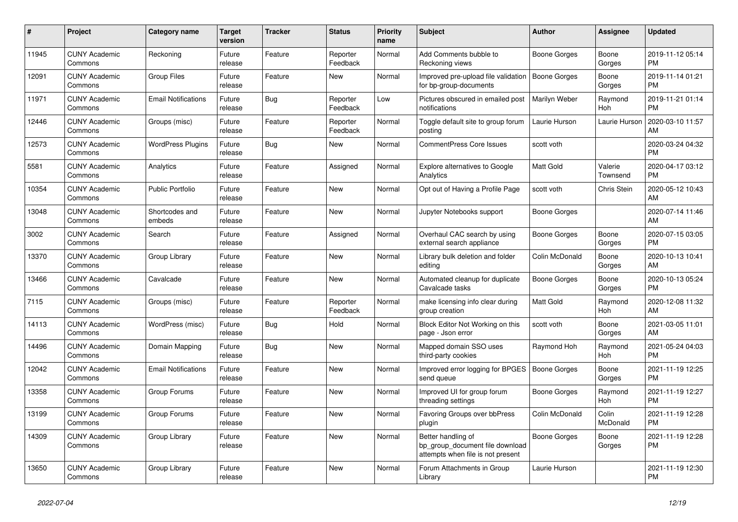| #     | <b>Project</b>                  | Category name              | Target<br>version | <b>Tracker</b> | <b>Status</b>        | <b>Priority</b><br>name | <b>Subject</b>                                                                             | <b>Author</b>  | Assignee            | <b>Updated</b>                |
|-------|---------------------------------|----------------------------|-------------------|----------------|----------------------|-------------------------|--------------------------------------------------------------------------------------------|----------------|---------------------|-------------------------------|
| 11945 | <b>CUNY Academic</b><br>Commons | Reckoning                  | Future<br>release | Feature        | Reporter<br>Feedback | Normal                  | Add Comments bubble to<br>Reckoning views                                                  | Boone Gorges   | Boone<br>Gorges     | 2019-11-12 05:14<br><b>PM</b> |
| 12091 | <b>CUNY Academic</b><br>Commons | <b>Group Files</b>         | Future<br>release | Feature        | New                  | Normal                  | Improved pre-upload file validation<br>for bp-group-documents                              | Boone Gorges   | Boone<br>Gorges     | 2019-11-14 01:21<br><b>PM</b> |
| 11971 | <b>CUNY Academic</b><br>Commons | <b>Email Notifications</b> | Future<br>release | Bug            | Reporter<br>Feedback | Low                     | Pictures obscured in emailed post<br>notifications                                         | Marilyn Weber  | Raymond<br>Hoh      | 2019-11-21 01:14<br><b>PM</b> |
| 12446 | <b>CUNY Academic</b><br>Commons | Groups (misc)              | Future<br>release | Feature        | Reporter<br>Feedback | Normal                  | Toggle default site to group forum<br>posting                                              | Laurie Hurson  | Laurie Hurson       | 2020-03-10 11:57<br>AM        |
| 12573 | <b>CUNY Academic</b><br>Commons | <b>WordPress Plugins</b>   | Future<br>release | Bug            | New                  | Normal                  | CommentPress Core Issues                                                                   | scott voth     |                     | 2020-03-24 04:32<br><b>PM</b> |
| 5581  | <b>CUNY Academic</b><br>Commons | Analytics                  | Future<br>release | Feature        | Assigned             | Normal                  | <b>Explore alternatives to Google</b><br>Analytics                                         | Matt Gold      | Valerie<br>Townsend | 2020-04-17 03:12<br><b>PM</b> |
| 10354 | <b>CUNY Academic</b><br>Commons | <b>Public Portfolio</b>    | Future<br>release | Feature        | <b>New</b>           | Normal                  | Opt out of Having a Profile Page                                                           | scott voth     | Chris Stein         | 2020-05-12 10:43<br>AM        |
| 13048 | <b>CUNY Academic</b><br>Commons | Shortcodes and<br>embeds   | Future<br>release | Feature        | New                  | Normal                  | Jupyter Notebooks support                                                                  | Boone Gorges   |                     | 2020-07-14 11:46<br>AM.       |
| 3002  | <b>CUNY Academic</b><br>Commons | Search                     | Future<br>release | Feature        | Assigned             | Normal                  | Overhaul CAC search by using<br>external search appliance                                  | Boone Gorges   | Boone<br>Gorges     | 2020-07-15 03:05<br><b>PM</b> |
| 13370 | <b>CUNY Academic</b><br>Commons | Group Library              | Future<br>release | Feature        | <b>New</b>           | Normal                  | Library bulk deletion and folder<br>editing                                                | Colin McDonald | Boone<br>Gorges     | 2020-10-13 10:41<br>AM        |
| 13466 | <b>CUNY Academic</b><br>Commons | Cavalcade                  | Future<br>release | Feature        | New                  | Normal                  | Automated cleanup for duplicate<br>Cavalcade tasks                                         | Boone Gorges   | Boone<br>Gorges     | 2020-10-13 05:24<br>PM        |
| 7115  | <b>CUNY Academic</b><br>Commons | Groups (misc)              | Future<br>release | Feature        | Reporter<br>Feedback | Normal                  | make licensing info clear during<br>group creation                                         | Matt Gold      | Raymond<br>Hoh      | 2020-12-08 11:32<br><b>AM</b> |
| 14113 | <b>CUNY Academic</b><br>Commons | WordPress (misc)           | Future<br>release | Bug            | Hold                 | Normal                  | Block Editor Not Working on this<br>page - Json error                                      | scott voth     | Boone<br>Gorges     | 2021-03-05 11:01<br>AM        |
| 14496 | <b>CUNY Academic</b><br>Commons | Domain Mapping             | Future<br>release | Bug            | <b>New</b>           | Normal                  | Mapped domain SSO uses<br>third-party cookies                                              | Raymond Hoh    | Raymond<br>Hoh      | 2021-05-24 04:03<br>PM        |
| 12042 | <b>CUNY Academic</b><br>Commons | <b>Email Notifications</b> | Future<br>release | Feature        | <b>New</b>           | Normal                  | Improved error logging for BPGES<br>send queue                                             | Boone Gorges   | Boone<br>Gorges     | 2021-11-19 12:25<br><b>PM</b> |
| 13358 | <b>CUNY Academic</b><br>Commons | Group Forums               | Future<br>release | Feature        | New                  | Normal                  | Improved UI for group forum<br>threading settings                                          | Boone Gorges   | Raymond<br>Hoh      | 2021-11-19 12:27<br><b>PM</b> |
| 13199 | <b>CUNY Academic</b><br>Commons | Group Forums               | Future<br>release | Feature        | <b>New</b>           | Normal                  | Favoring Groups over bbPress<br>plugin                                                     | Colin McDonald | Colin<br>McDonald   | 2021-11-19 12:28<br><b>PM</b> |
| 14309 | <b>CUNY Academic</b><br>Commons | Group Library              | Future<br>release | Feature        | New                  | Normal                  | Better handling of<br>bp_group_document file download<br>attempts when file is not present | Boone Gorges   | Boone<br>Gorges     | 2021-11-19 12:28<br><b>PM</b> |
| 13650 | <b>CUNY Academic</b><br>Commons | Group Library              | Future<br>release | Feature        | <b>New</b>           | Normal                  | Forum Attachments in Group<br>Library                                                      | Laurie Hurson  |                     | 2021-11-19 12:30<br><b>PM</b> |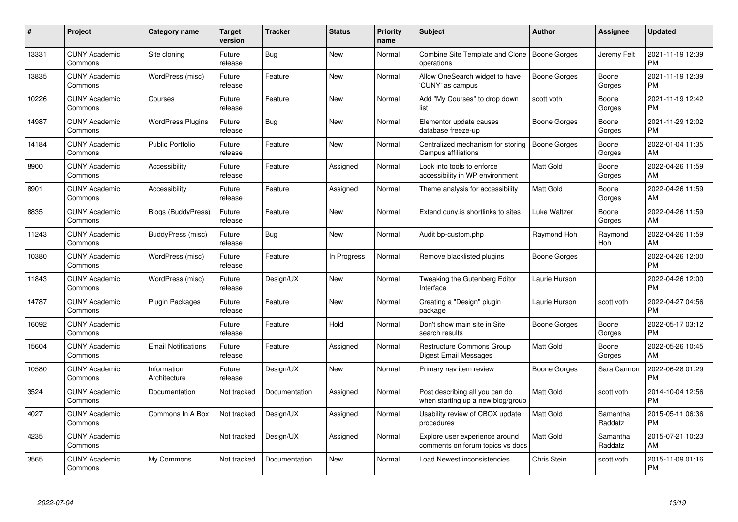| #     | Project                         | <b>Category name</b>        | Target<br>version | <b>Tracker</b> | <b>Status</b> | Priority<br>name | <b>Subject</b>                                                      | <b>Author</b>       | <b>Assignee</b>     | <b>Updated</b>                |
|-------|---------------------------------|-----------------------------|-------------------|----------------|---------------|------------------|---------------------------------------------------------------------|---------------------|---------------------|-------------------------------|
| 13331 | <b>CUNY Academic</b><br>Commons | Site cloning                | Future<br>release | Bug            | <b>New</b>    | Normal           | Combine Site Template and Clone<br>operations                       | Boone Gorges        | Jeremy Felt         | 2021-11-19 12:39<br><b>PM</b> |
| 13835 | <b>CUNY Academic</b><br>Commons | WordPress (misc)            | Future<br>release | Feature        | <b>New</b>    | Normal           | Allow OneSearch widget to have<br>'CUNY' as campus                  | Boone Gorges        | Boone<br>Gorges     | 2021-11-19 12:39<br><b>PM</b> |
| 10226 | <b>CUNY Academic</b><br>Commons | Courses                     | Future<br>release | Feature        | <b>New</b>    | Normal           | Add "My Courses" to drop down<br>list                               | scott voth          | Boone<br>Gorges     | 2021-11-19 12:42<br><b>PM</b> |
| 14987 | <b>CUNY Academic</b><br>Commons | <b>WordPress Plugins</b>    | Future<br>release | Bug            | <b>New</b>    | Normal           | Elementor update causes<br>database freeze-up                       | Boone Gorges        | Boone<br>Gorges     | 2021-11-29 12:02<br><b>PM</b> |
| 14184 | <b>CUNY Academic</b><br>Commons | <b>Public Portfolio</b>     | Future<br>release | Feature        | <b>New</b>    | Normal           | Centralized mechanism for storing<br>Campus affiliations            | <b>Boone Gorges</b> | Boone<br>Gorges     | 2022-01-04 11:35<br>AM        |
| 8900  | <b>CUNY Academic</b><br>Commons | Accessibility               | Future<br>release | Feature        | Assigned      | Normal           | Look into tools to enforce<br>accessibility in WP environment       | Matt Gold           | Boone<br>Gorges     | 2022-04-26 11:59<br>AM.       |
| 8901  | <b>CUNY Academic</b><br>Commons | Accessibility               | Future<br>release | Feature        | Assigned      | Normal           | Theme analysis for accessibility                                    | Matt Gold           | Boone<br>Gorges     | 2022-04-26 11:59<br>AM        |
| 8835  | <b>CUNY Academic</b><br>Commons | <b>Blogs (BuddyPress)</b>   | Future<br>release | Feature        | <b>New</b>    | Normal           | Extend cuny is shortlinks to sites                                  | Luke Waltzer        | Boone<br>Gorges     | 2022-04-26 11:59<br>AM        |
| 11243 | <b>CUNY Academic</b><br>Commons | BuddyPress (misc)           | Future<br>release | <b>Bug</b>     | New           | Normal           | Audit bp-custom.php                                                 | Raymond Hoh         | Raymond<br>Hoh      | 2022-04-26 11:59<br>AM        |
| 10380 | <b>CUNY Academic</b><br>Commons | WordPress (misc)            | Future<br>release | Feature        | In Progress   | Normal           | Remove blacklisted plugins                                          | Boone Gorges        |                     | 2022-04-26 12:00<br>PM        |
| 11843 | <b>CUNY Academic</b><br>Commons | WordPress (misc)            | Future<br>release | Design/UX      | New           | Normal           | Tweaking the Gutenberg Editor<br>Interface                          | Laurie Hurson       |                     | 2022-04-26 12:00<br><b>PM</b> |
| 14787 | <b>CUNY Academic</b><br>Commons | <b>Plugin Packages</b>      | Future<br>release | Feature        | New           | Normal           | Creating a "Design" plugin<br>package                               | Laurie Hurson       | scott voth          | 2022-04-27 04:56<br><b>PM</b> |
| 16092 | <b>CUNY Academic</b><br>Commons |                             | Future<br>release | Feature        | Hold          | Normal           | Don't show main site in Site<br>search results                      | Boone Gorges        | Boone<br>Gorges     | 2022-05-17 03:12<br>PM.       |
| 15604 | <b>CUNY Academic</b><br>Commons | <b>Email Notifications</b>  | Future<br>release | Feature        | Assigned      | Normal           | <b>Restructure Commons Group</b><br>Digest Email Messages           | Matt Gold           | Boone<br>Gorges     | 2022-05-26 10:45<br>AM.       |
| 10580 | <b>CUNY Academic</b><br>Commons | Information<br>Architecture | Future<br>release | Design/UX      | New           | Normal           | Primary nav item review                                             | Boone Gorges        | Sara Cannon         | 2022-06-28 01:29<br><b>PM</b> |
| 3524  | <b>CUNY Academic</b><br>Commons | Documentation               | Not tracked       | Documentation  | Assigned      | Normal           | Post describing all you can do<br>when starting up a new blog/group | Matt Gold           | scott voth          | 2014-10-04 12:56<br><b>PM</b> |
| 4027  | <b>CUNY Academic</b><br>Commons | Commons In A Box            | Not tracked       | Design/UX      | Assigned      | Normal           | Usability review of CBOX update<br>procedures                       | <b>Matt Gold</b>    | Samantha<br>Raddatz | 2015-05-11 06:36<br><b>PM</b> |
| 4235  | <b>CUNY Academic</b><br>Commons |                             | Not tracked       | Design/UX      | Assigned      | Normal           | Explore user experience around<br>comments on forum topics vs docs  | Matt Gold           | Samantha<br>Raddatz | 2015-07-21 10:23<br>AM        |
| 3565  | <b>CUNY Academic</b><br>Commons | My Commons                  | Not tracked       | Documentation  | <b>New</b>    | Normal           | Load Newest inconsistencies                                         | Chris Stein         | scott voth          | 2015-11-09 01:16<br>PM        |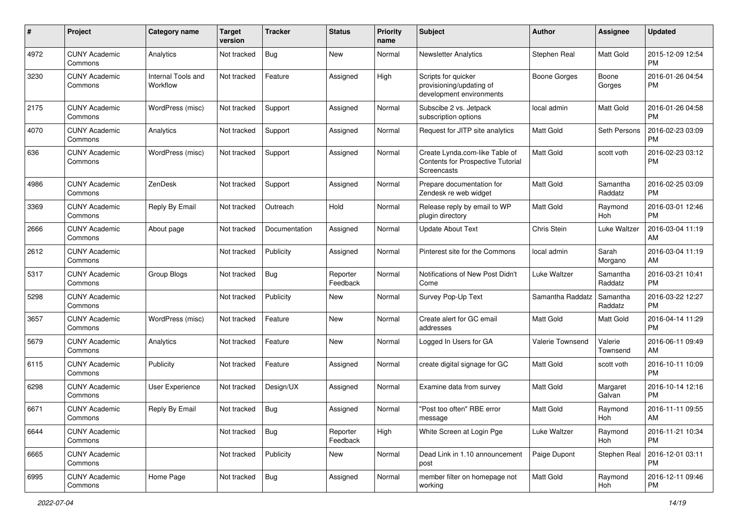| #    | Project                         | <b>Category name</b>           | <b>Target</b><br>version | Tracker       | <b>Status</b>        | <b>Priority</b><br>name | <b>Subject</b>                                                                     | Author              | <b>Assignee</b>     | <b>Updated</b>                |
|------|---------------------------------|--------------------------------|--------------------------|---------------|----------------------|-------------------------|------------------------------------------------------------------------------------|---------------------|---------------------|-------------------------------|
| 4972 | <b>CUNY Academic</b><br>Commons | Analytics                      | Not tracked              | <b>Bug</b>    | <b>New</b>           | Normal                  | <b>Newsletter Analytics</b>                                                        | Stephen Real        | Matt Gold           | 2015-12-09 12:54<br>PM.       |
| 3230 | <b>CUNY Academic</b><br>Commons | Internal Tools and<br>Workflow | Not tracked              | Feature       | Assigned             | High                    | Scripts for quicker<br>provisioning/updating of<br>development environments        | <b>Boone Gorges</b> | Boone<br>Gorges     | 2016-01-26 04:54<br><b>PM</b> |
| 2175 | <b>CUNY Academic</b><br>Commons | WordPress (misc)               | Not tracked              | Support       | Assigned             | Normal                  | Subscibe 2 vs. Jetpack<br>subscription options                                     | local admin         | Matt Gold           | 2016-01-26 04:58<br><b>PM</b> |
| 4070 | <b>CUNY Academic</b><br>Commons | Analytics                      | Not tracked              | Support       | Assigned             | Normal                  | Request for JITP site analytics                                                    | Matt Gold           | Seth Persons        | 2016-02-23 03:09<br><b>PM</b> |
| 636  | <b>CUNY Academic</b><br>Commons | WordPress (misc)               | Not tracked              | Support       | Assigned             | Normal                  | Create Lynda.com-like Table of<br>Contents for Prospective Tutorial<br>Screencasts | <b>Matt Gold</b>    | scott voth          | 2016-02-23 03:12<br>PM        |
| 4986 | <b>CUNY Academic</b><br>Commons | ZenDesk                        | Not tracked              | Support       | Assigned             | Normal                  | Prepare documentation for<br>Zendesk re web widget                                 | <b>Matt Gold</b>    | Samantha<br>Raddatz | 2016-02-25 03:09<br><b>PM</b> |
| 3369 | <b>CUNY Academic</b><br>Commons | Reply By Email                 | Not tracked              | Outreach      | Hold                 | Normal                  | Release reply by email to WP<br>plugin directory                                   | <b>Matt Gold</b>    | Raymond<br>Hoh      | 2016-03-01 12:46<br><b>PM</b> |
| 2666 | <b>CUNY Academic</b><br>Commons | About page                     | Not tracked              | Documentation | Assigned             | Normal                  | <b>Update About Text</b>                                                           | Chris Stein         | Luke Waltzer        | 2016-03-04 11:19<br>AM        |
| 2612 | <b>CUNY Academic</b><br>Commons |                                | Not tracked              | Publicity     | Assigned             | Normal                  | Pinterest site for the Commons                                                     | local admin         | Sarah<br>Morgano    | 2016-03-04 11:19<br>AM        |
| 5317 | <b>CUNY Academic</b><br>Commons | Group Blogs                    | Not tracked              | <b>Bug</b>    | Reporter<br>Feedback | Normal                  | Notifications of New Post Didn't<br>Come                                           | Luke Waltzer        | Samantha<br>Raddatz | 2016-03-21 10:41<br><b>PM</b> |
| 5298 | <b>CUNY Academic</b><br>Commons |                                | Not tracked              | Publicity     | New                  | Normal                  | Survey Pop-Up Text                                                                 | Samantha Raddatz    | Samantha<br>Raddatz | 2016-03-22 12:27<br><b>PM</b> |
| 3657 | <b>CUNY Academic</b><br>Commons | WordPress (misc)               | Not tracked              | Feature       | <b>New</b>           | Normal                  | Create alert for GC email<br>addresses                                             | Matt Gold           | Matt Gold           | 2016-04-14 11:29<br><b>PM</b> |
| 5679 | <b>CUNY Academic</b><br>Commons | Analytics                      | Not tracked              | Feature       | <b>New</b>           | Normal                  | Logged In Users for GA                                                             | Valerie Townsend    | Valerie<br>Townsend | 2016-06-11 09:49<br>AM        |
| 6115 | <b>CUNY Academic</b><br>Commons | Publicity                      | Not tracked              | Feature       | Assigned             | Normal                  | create digital signage for GC                                                      | <b>Matt Gold</b>    | scott voth          | 2016-10-11 10:09<br><b>PM</b> |
| 6298 | <b>CUNY Academic</b><br>Commons | User Experience                | Not tracked              | Design/UX     | Assigned             | Normal                  | Examine data from survey                                                           | Matt Gold           | Margaret<br>Galvan  | 2016-10-14 12:16<br><b>PM</b> |
| 6671 | <b>CUNY Academic</b><br>Commons | Reply By Email                 | Not tracked              | Bug           | Assigned             | Normal                  | 'Post too often" RBE error<br>message                                              | Matt Gold           | Raymond<br>Hoh      | 2016-11-11 09:55<br>AM        |
| 6644 | <b>CUNY Academic</b><br>Commons |                                | Not tracked              | <b>Bug</b>    | Reporter<br>Feedback | High                    | White Screen at Login Pge                                                          | Luke Waltzer        | Raymond<br>Hoh      | 2016-11-21 10:34<br><b>PM</b> |
| 6665 | <b>CUNY Academic</b><br>Commons |                                | Not tracked              | Publicity     | New                  | Normal                  | Dead Link in 1.10 announcement<br>post                                             | Paige Dupont        | Stephen Real        | 2016-12-01 03:11<br>PM        |
| 6995 | <b>CUNY Academic</b><br>Commons | Home Page                      | Not tracked              | Bug           | Assigned             | Normal                  | member filter on homepage not<br>working                                           | Matt Gold           | Raymond<br>Hoh      | 2016-12-11 09:46<br>PM        |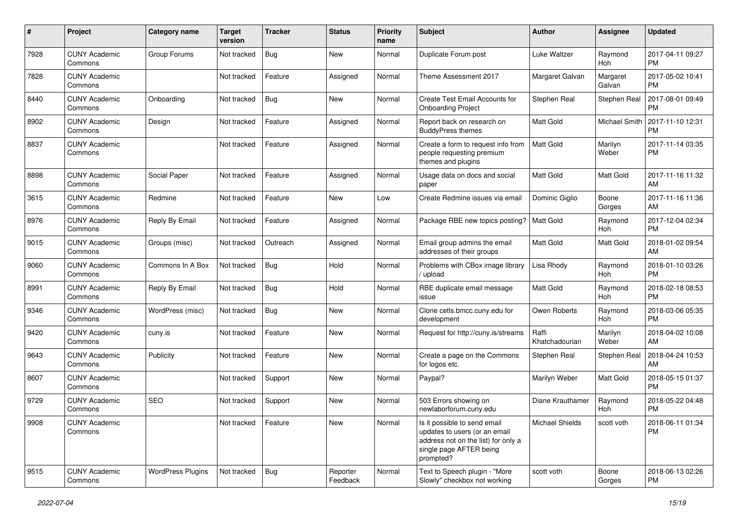| #    | Project                         | Category name            | <b>Target</b><br>version | <b>Tracker</b> | <b>Status</b>        | <b>Priority</b><br>name | Subject                                                                                                                                      | Author                  | <b>Assignee</b>      | <b>Updated</b>                |
|------|---------------------------------|--------------------------|--------------------------|----------------|----------------------|-------------------------|----------------------------------------------------------------------------------------------------------------------------------------------|-------------------------|----------------------|-------------------------------|
| 7928 | <b>CUNY Academic</b><br>Commons | Group Forums             | Not tracked              | <b>Bug</b>     | <b>New</b>           | Normal                  | Duplicate Forum post                                                                                                                         | Luke Waltzer            | Raymond<br>Hoh       | 2017-04-11 09:27<br><b>PM</b> |
| 7828 | <b>CUNY Academic</b><br>Commons |                          | Not tracked              | Feature        | Assigned             | Normal                  | Theme Assessment 2017                                                                                                                        | Margaret Galvan         | Margaret<br>Galvan   | 2017-05-02 10:41<br><b>PM</b> |
| 8440 | <b>CUNY Academic</b><br>Commons | Onboarding               | Not tracked              | Bug            | New                  | Normal                  | Create Test Email Accounts for<br><b>Onboarding Project</b>                                                                                  | Stephen Real            | Stephen Real         | 2017-08-01 09:49<br><b>PM</b> |
| 8902 | <b>CUNY Academic</b><br>Commons | Design                   | Not tracked              | Feature        | Assigned             | Normal                  | Report back on research on<br><b>BuddyPress themes</b>                                                                                       | <b>Matt Gold</b>        | <b>Michael Smith</b> | 2017-11-10 12:31<br><b>PM</b> |
| 8837 | <b>CUNY Academic</b><br>Commons |                          | Not tracked              | Feature        | Assigned             | Normal                  | Create a form to request info from<br>people requesting premium<br>themes and plugins                                                        | Matt Gold               | Marilyn<br>Weber     | 2017-11-14 03:35<br><b>PM</b> |
| 8898 | <b>CUNY Academic</b><br>Commons | Social Paper             | Not tracked              | Feature        | Assigned             | Normal                  | Usage data on docs and social<br>paper                                                                                                       | <b>Matt Gold</b>        | Matt Gold            | 2017-11-16 11:32<br>AM        |
| 3615 | <b>CUNY Academic</b><br>Commons | Redmine                  | Not tracked              | Feature        | New                  | Low                     | Create Redmine issues via email                                                                                                              | Dominic Giglio          | Boone<br>Gorges      | 2017-11-16 11:36<br>AM        |
| 8976 | <b>CUNY Academic</b><br>Commons | Reply By Email           | Not tracked              | Feature        | Assigned             | Normal                  | Package RBE new topics posting?                                                                                                              | <b>Matt Gold</b>        | Raymond<br>Hoh       | 2017-12-04 02:34<br><b>PM</b> |
| 9015 | <b>CUNY Academic</b><br>Commons | Groups (misc)            | Not tracked              | Outreach       | Assigned             | Normal                  | Email group admins the email<br>addresses of their groups                                                                                    | <b>Matt Gold</b>        | Matt Gold            | 2018-01-02 09:54<br>AM        |
| 9060 | <b>CUNY Academic</b><br>Commons | Commons In A Box         | Not tracked              | Bug            | Hold                 | Normal                  | Problems with CBox image library<br>/ upload                                                                                                 | Lisa Rhody              | Raymond<br>Hoh       | 2018-01-10 03:26<br><b>PM</b> |
| 8991 | <b>CUNY Academic</b><br>Commons | Reply By Email           | Not tracked              | Bug            | Hold                 | Normal                  | RBE duplicate email message<br>issue                                                                                                         | Matt Gold               | Raymond<br>Hoh       | 2018-02-18 08:53<br><b>PM</b> |
| 9346 | <b>CUNY Academic</b><br>Commons | WordPress (misc)         | Not tracked              | Bug            | <b>New</b>           | Normal                  | Clone cetls.bmcc.cuny.edu for<br>development                                                                                                 | Owen Roberts            | Raymond<br>Hoh       | 2018-03-06 05:35<br><b>PM</b> |
| 9420 | <b>CUNY Academic</b><br>Commons | cuny.is                  | Not tracked              | Feature        | <b>New</b>           | Normal                  | Request for http://cuny.is/streams                                                                                                           | Raffi<br>Khatchadourian | Marilyn<br>Weber     | 2018-04-02 10:08<br>AM        |
| 9643 | <b>CUNY Academic</b><br>Commons | Publicity                | Not tracked              | Feature        | New                  | Normal                  | Create a page on the Commons<br>for logos etc.                                                                                               | Stephen Real            | Stephen Real         | 2018-04-24 10:53<br>AM        |
| 8607 | <b>CUNY Academic</b><br>Commons |                          | Not tracked              | Support        | New                  | Normal                  | Paypal?                                                                                                                                      | Marilyn Weber           | Matt Gold            | 2018-05-15 01:37<br><b>PM</b> |
| 9729 | <b>CUNY Academic</b><br>Commons | <b>SEO</b>               | Not tracked              | Support        | <b>New</b>           | Normal                  | 503 Errors showing on<br>newlaborforum.cuny.edu                                                                                              | Diane Krauthamer        | Raymond<br>Hoh       | 2018-05-22 04:48<br><b>PM</b> |
| 9908 | <b>CUNY Academic</b><br>Commons |                          | Not tracked              | Feature        | New                  | Normal                  | Is it possible to send email<br>updates to users (or an email<br>address not on the list) for only a<br>single page AFTER being<br>prompted? | Michael Shields         | scott voth           | 2018-06-11 01:34<br><b>PM</b> |
| 9515 | <b>CUNY Academic</b><br>Commons | <b>WordPress Plugins</b> | Not tracked              | Bug            | Reporter<br>Feedback | Normal                  | Text to Speech plugin - "More<br>Slowly" checkbox not working                                                                                | scott voth              | Boone<br>Gorges      | 2018-06-13 02:26<br><b>PM</b> |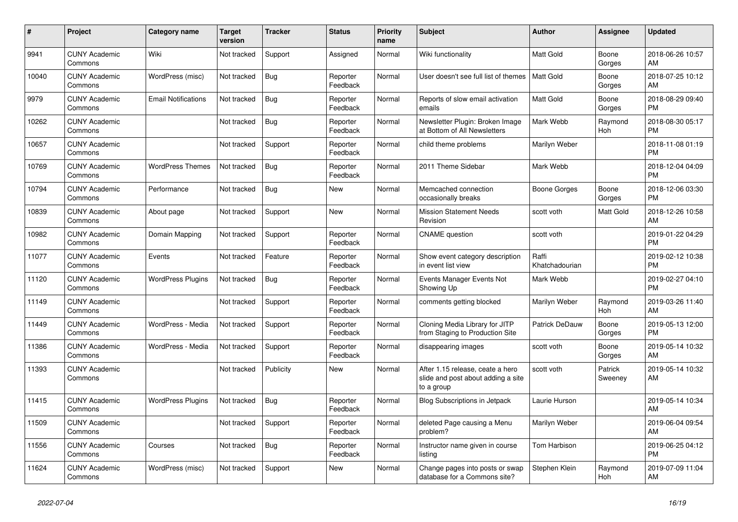| #     | Project                         | <b>Category name</b>       | <b>Target</b><br>version | <b>Tracker</b> | <b>Status</b>        | <b>Priority</b><br>name | <b>Subject</b>                                                                       | <b>Author</b>           | <b>Assignee</b>    | <b>Updated</b>                |
|-------|---------------------------------|----------------------------|--------------------------|----------------|----------------------|-------------------------|--------------------------------------------------------------------------------------|-------------------------|--------------------|-------------------------------|
| 9941  | <b>CUNY Academic</b><br>Commons | Wiki                       | Not tracked              | Support        | Assigned             | Normal                  | Wiki functionality                                                                   | <b>Matt Gold</b>        | Boone<br>Gorges    | 2018-06-26 10:57<br>AM        |
| 10040 | <b>CUNY Academic</b><br>Commons | WordPress (misc)           | Not tracked              | <b>Bug</b>     | Reporter<br>Feedback | Normal                  | User doesn't see full list of themes                                                 | <b>Matt Gold</b>        | Boone<br>Gorges    | 2018-07-25 10:12<br>AM        |
| 9979  | <b>CUNY Academic</b><br>Commons | <b>Email Notifications</b> | Not tracked              | <b>Bug</b>     | Reporter<br>Feedback | Normal                  | Reports of slow email activation<br>emails                                           | <b>Matt Gold</b>        | Boone<br>Gorges    | 2018-08-29 09:40<br><b>PM</b> |
| 10262 | <b>CUNY Academic</b><br>Commons |                            | Not tracked              | <b>Bug</b>     | Reporter<br>Feedback | Normal                  | Newsletter Plugin: Broken Image<br>at Bottom of All Newsletters                      | Mark Webb               | Raymond<br>Hoh     | 2018-08-30 05:17<br><b>PM</b> |
| 10657 | <b>CUNY Academic</b><br>Commons |                            | Not tracked              | Support        | Reporter<br>Feedback | Normal                  | child theme problems                                                                 | Marilyn Weber           |                    | 2018-11-08 01:19<br><b>PM</b> |
| 10769 | <b>CUNY Academic</b><br>Commons | <b>WordPress Themes</b>    | Not tracked              | <b>Bug</b>     | Reporter<br>Feedback | Normal                  | 2011 Theme Sidebar                                                                   | Mark Webb               |                    | 2018-12-04 04:09<br><b>PM</b> |
| 10794 | <b>CUNY Academic</b><br>Commons | Performance                | Not tracked              | <b>Bug</b>     | New                  | Normal                  | Memcached connection<br>occasionally breaks                                          | Boone Gorges            | Boone<br>Gorges    | 2018-12-06 03:30<br><b>PM</b> |
| 10839 | <b>CUNY Academic</b><br>Commons | About page                 | Not tracked              | Support        | New                  | Normal                  | <b>Mission Statement Needs</b><br>Revision                                           | scott voth              | Matt Gold          | 2018-12-26 10:58<br>AM        |
| 10982 | <b>CUNY Academic</b><br>Commons | Domain Mapping             | Not tracked              | Support        | Reporter<br>Feedback | Normal                  | <b>CNAME</b> question                                                                | scott voth              |                    | 2019-01-22 04:29<br><b>PM</b> |
| 11077 | <b>CUNY Academic</b><br>Commons | Events                     | Not tracked              | Feature        | Reporter<br>Feedback | Normal                  | Show event category description<br>in event list view                                | Raffi<br>Khatchadourian |                    | 2019-02-12 10:38<br><b>PM</b> |
| 11120 | <b>CUNY Academic</b><br>Commons | <b>WordPress Plugins</b>   | Not tracked              | Bug            | Reporter<br>Feedback | Normal                  | Events Manager Events Not<br>Showing Up                                              | Mark Webb               |                    | 2019-02-27 04:10<br><b>PM</b> |
| 11149 | <b>CUNY Academic</b><br>Commons |                            | Not tracked              | Support        | Reporter<br>Feedback | Normal                  | comments getting blocked                                                             | Marilyn Weber           | Raymond<br>Hoh     | 2019-03-26 11:40<br>AM        |
| 11449 | <b>CUNY Academic</b><br>Commons | WordPress - Media          | Not tracked              | Support        | Reporter<br>Feedback | Normal                  | Cloning Media Library for JITP<br>from Staging to Production Site                    | <b>Patrick DeDauw</b>   | Boone<br>Gorges    | 2019-05-13 12:00<br><b>PM</b> |
| 11386 | <b>CUNY Academic</b><br>Commons | WordPress - Media          | Not tracked              | Support        | Reporter<br>Feedback | Normal                  | disappearing images                                                                  | scott voth              | Boone<br>Gorges    | 2019-05-14 10:32<br>AM        |
| 11393 | <b>CUNY Academic</b><br>Commons |                            | Not tracked              | Publicity      | New                  | Normal                  | After 1.15 release, ceate a hero<br>slide and post about adding a site<br>to a group | scott voth              | Patrick<br>Sweeney | 2019-05-14 10:32<br>AM        |
| 11415 | <b>CUNY Academic</b><br>Commons | <b>WordPress Plugins</b>   | Not tracked              | Bug            | Reporter<br>Feedback | Normal                  | <b>Blog Subscriptions in Jetpack</b>                                                 | Laurie Hurson           |                    | 2019-05-14 10:34<br>AM        |
| 11509 | <b>CUNY Academic</b><br>Commons |                            | Not tracked              | Support        | Reporter<br>Feedback | Normal                  | deleted Page causing a Menu<br>problem?                                              | Marilyn Weber           |                    | 2019-06-04 09:54<br>AM        |
| 11556 | <b>CUNY Academic</b><br>Commons | Courses                    | Not tracked              | <b>Bug</b>     | Reporter<br>Feedback | Normal                  | Instructor name given in course<br>listing                                           | Tom Harbison            |                    | 2019-06-25 04:12<br><b>PM</b> |
| 11624 | <b>CUNY Academic</b><br>Commons | WordPress (misc)           | Not tracked              | Support        | <b>New</b>           | Normal                  | Change pages into posts or swap<br>database for a Commons site?                      | Stephen Klein           | Raymond<br>Hoh     | 2019-07-09 11:04<br>AM        |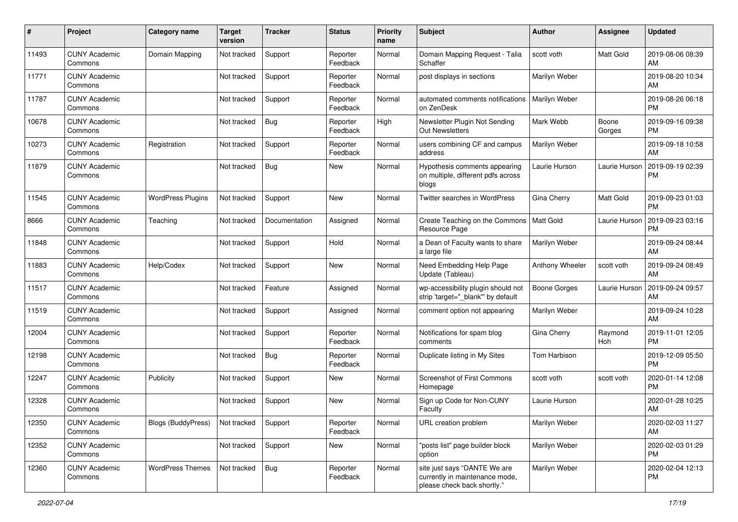| #     | Project                         | <b>Category name</b>      | <b>Target</b><br>version | <b>Tracker</b> | <b>Status</b>        | Priority<br>name | <b>Subject</b>                                                                                | <b>Author</b>    | <b>Assignee</b> | <b>Updated</b>                |
|-------|---------------------------------|---------------------------|--------------------------|----------------|----------------------|------------------|-----------------------------------------------------------------------------------------------|------------------|-----------------|-------------------------------|
| 11493 | <b>CUNY Academic</b><br>Commons | Domain Mapping            | Not tracked              | Support        | Reporter<br>Feedback | Normal           | Domain Mapping Request - Talia<br>Schaffer                                                    | scott voth       | Matt Gold       | 2019-08-06 08:39<br>AM        |
| 11771 | <b>CUNY Academic</b><br>Commons |                           | Not tracked              | Support        | Reporter<br>Feedback | Normal           | post displays in sections                                                                     | Marilyn Weber    |                 | 2019-08-20 10:34<br>AM        |
| 11787 | <b>CUNY Academic</b><br>Commons |                           | Not tracked              | Support        | Reporter<br>Feedback | Normal           | automated comments notifications<br>on ZenDesk                                                | Marilyn Weber    |                 | 2019-08-26 06:18<br><b>PM</b> |
| 10678 | <b>CUNY Academic</b><br>Commons |                           | Not tracked              | Bug            | Reporter<br>Feedback | High             | Newsletter Plugin Not Sending<br><b>Out Newsletters</b>                                       | Mark Webb        | Boone<br>Gorges | 2019-09-16 09:38<br><b>PM</b> |
| 10273 | <b>CUNY Academic</b><br>Commons | Registration              | Not tracked              | Support        | Reporter<br>Feedback | Normal           | users combining CF and campus<br>address                                                      | Marilyn Weber    |                 | 2019-09-18 10:58<br>AM        |
| 11879 | <b>CUNY Academic</b><br>Commons |                           | Not tracked              | <b>Bug</b>     | New                  | Normal           | Hypothesis comments appearing<br>on multiple, different pdfs across<br>blogs                  | Laurie Hurson    | Laurie Hurson   | 2019-09-19 02:39<br><b>PM</b> |
| 11545 | <b>CUNY Academic</b><br>Commons | <b>WordPress Plugins</b>  | Not tracked              | Support        | New                  | Normal           | Twitter searches in WordPress                                                                 | Gina Cherry      | Matt Gold       | 2019-09-23 01:03<br><b>PM</b> |
| 8666  | <b>CUNY Academic</b><br>Commons | Teaching                  | Not tracked              | Documentation  | Assigned             | Normal           | Create Teaching on the Commons<br>Resource Page                                               | <b>Matt Gold</b> | Laurie Hurson   | 2019-09-23 03:16<br><b>PM</b> |
| 11848 | <b>CUNY Academic</b><br>Commons |                           | Not tracked              | Support        | Hold                 | Normal           | a Dean of Faculty wants to share<br>a large file                                              | Marilyn Weber    |                 | 2019-09-24 08:44<br>AM.       |
| 11883 | <b>CUNY Academic</b><br>Commons | Help/Codex                | Not tracked              | Support        | <b>New</b>           | Normal           | Need Embedding Help Page<br>Update (Tableau)                                                  | Anthony Wheeler  | scott voth      | 2019-09-24 08:49<br>AM        |
| 11517 | <b>CUNY Academic</b><br>Commons |                           | Not tracked              | Feature        | Assigned             | Normal           | wp-accessibility plugin should not<br>strip 'target="_blank"' by default                      | Boone Gorges     | Laurie Hurson   | 2019-09-24 09:57<br>AM.       |
| 11519 | <b>CUNY Academic</b><br>Commons |                           | Not tracked              | Support        | Assigned             | Normal           | comment option not appearing                                                                  | Marilyn Weber    |                 | 2019-09-24 10:28<br>AM        |
| 12004 | <b>CUNY Academic</b><br>Commons |                           | Not tracked              | Support        | Reporter<br>Feedback | Normal           | Notifications for spam blog<br>comments                                                       | Gina Cherry      | Raymond<br>Hoh  | 2019-11-01 12:05<br><b>PM</b> |
| 12198 | <b>CUNY Academic</b><br>Commons |                           | Not tracked              | Bug            | Reporter<br>Feedback | Normal           | Duplicate listing in My Sites                                                                 | Tom Harbison     |                 | 2019-12-09 05:50<br><b>PM</b> |
| 12247 | <b>CUNY Academic</b><br>Commons | Publicity                 | Not tracked              | Support        | New                  | Normal           | Screenshot of First Commons<br>Homepage                                                       | scott voth       | scott voth      | 2020-01-14 12:08<br><b>PM</b> |
| 12328 | <b>CUNY Academic</b><br>Commons |                           | Not tracked              | Support        | New                  | Normal           | Sign up Code for Non-CUNY<br>Faculty                                                          | Laurie Hurson    |                 | 2020-01-28 10:25<br>AM        |
| 12350 | <b>CUNY Academic</b><br>Commons | <b>Blogs (BuddyPress)</b> | Not tracked              | Support        | Reporter<br>Feedback | Normal           | URL creation problem                                                                          | Marilyn Weber    |                 | 2020-02-03 11:27<br>AM        |
| 12352 | <b>CUNY Academic</b><br>Commons |                           | Not tracked              | Support        | New                  | Normal           | "posts list" page builder block<br>option                                                     | Marilyn Weber    |                 | 2020-02-03 01:29<br><b>PM</b> |
| 12360 | <b>CUNY Academic</b><br>Commons | <b>WordPress Themes</b>   | Not tracked              | Bug            | Reporter<br>Feedback | Normal           | site just says "DANTE We are<br>currently in maintenance mode,<br>please check back shortly." | Marilyn Weber    |                 | 2020-02-04 12:13<br><b>PM</b> |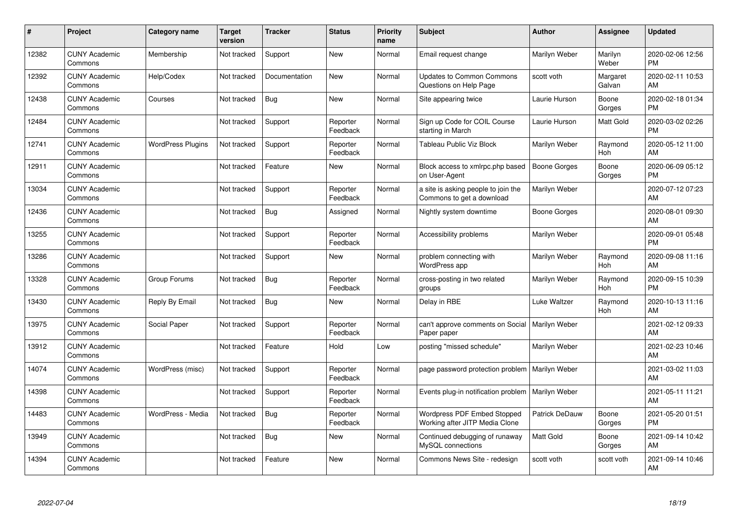| #     | Project                         | <b>Category name</b>     | <b>Target</b><br>version | <b>Tracker</b> | <b>Status</b>        | <b>Priority</b><br>name | <b>Subject</b>                                                   | <b>Author</b>       | <b>Assignee</b>    | <b>Updated</b>                |
|-------|---------------------------------|--------------------------|--------------------------|----------------|----------------------|-------------------------|------------------------------------------------------------------|---------------------|--------------------|-------------------------------|
| 12382 | <b>CUNY Academic</b><br>Commons | Membership               | Not tracked              | Support        | <b>New</b>           | Normal                  | Email request change                                             | Marilyn Weber       | Marilyn<br>Weber   | 2020-02-06 12:56<br><b>PM</b> |
| 12392 | <b>CUNY Academic</b><br>Commons | Help/Codex               | Not tracked              | Documentation  | New                  | Normal                  | <b>Updates to Common Commons</b><br>Questions on Help Page       | scott voth          | Margaret<br>Galvan | 2020-02-11 10:53<br>AM        |
| 12438 | <b>CUNY Academic</b><br>Commons | Courses                  | Not tracked              | Bug            | <b>New</b>           | Normal                  | Site appearing twice                                             | Laurie Hurson       | Boone<br>Gorges    | 2020-02-18 01:34<br><b>PM</b> |
| 12484 | <b>CUNY Academic</b><br>Commons |                          | Not tracked              | Support        | Reporter<br>Feedback | Normal                  | Sign up Code for COIL Course<br>starting in March                | Laurie Hurson       | Matt Gold          | 2020-03-02 02:26<br><b>PM</b> |
| 12741 | <b>CUNY Academic</b><br>Commons | <b>WordPress Plugins</b> | Not tracked              | Support        | Reporter<br>Feedback | Normal                  | Tableau Public Viz Block                                         | Marilyn Weber       | Raymond<br>Hoh     | 2020-05-12 11:00<br>AM        |
| 12911 | <b>CUNY Academic</b><br>Commons |                          | Not tracked              | Feature        | <b>New</b>           | Normal                  | Block access to xmlrpc.php based<br>on User-Agent                | <b>Boone Gorges</b> | Boone<br>Gorges    | 2020-06-09 05:12<br><b>PM</b> |
| 13034 | <b>CUNY Academic</b><br>Commons |                          | Not tracked              | Support        | Reporter<br>Feedback | Normal                  | a site is asking people to join the<br>Commons to get a download | Marilyn Weber       |                    | 2020-07-12 07:23<br>AM        |
| 12436 | <b>CUNY Academic</b><br>Commons |                          | Not tracked              | Bug            | Assigned             | Normal                  | Nightly system downtime                                          | Boone Gorges        |                    | 2020-08-01 09:30<br>AM        |
| 13255 | <b>CUNY Academic</b><br>Commons |                          | Not tracked              | Support        | Reporter<br>Feedback | Normal                  | Accessibility problems                                           | Marilyn Weber       |                    | 2020-09-01 05:48<br><b>PM</b> |
| 13286 | <b>CUNY Academic</b><br>Commons |                          | Not tracked              | Support        | <b>New</b>           | Normal                  | problem connecting with<br>WordPress app                         | Marilyn Weber       | Raymond<br>Hoh     | 2020-09-08 11:16<br>AM        |
| 13328 | <b>CUNY Academic</b><br>Commons | Group Forums             | Not tracked              | <b>Bug</b>     | Reporter<br>Feedback | Normal                  | cross-posting in two related<br>groups                           | Marilyn Weber       | Raymond<br>Hoh     | 2020-09-15 10:39<br><b>PM</b> |
| 13430 | <b>CUNY Academic</b><br>Commons | Reply By Email           | Not tracked              | <b>Bug</b>     | <b>New</b>           | Normal                  | Delay in RBE                                                     | Luke Waltzer        | Raymond<br>Hoh     | 2020-10-13 11:16<br>AM        |
| 13975 | <b>CUNY Academic</b><br>Commons | Social Paper             | Not tracked              | Support        | Reporter<br>Feedback | Normal                  | can't approve comments on Social<br>Paper paper                  | Marilyn Weber       |                    | 2021-02-12 09:33<br>AM        |
| 13912 | <b>CUNY Academic</b><br>Commons |                          | Not tracked              | Feature        | Hold                 | Low                     | posting "missed schedule"                                        | Marilyn Weber       |                    | 2021-02-23 10:46<br>AM        |
| 14074 | <b>CUNY Academic</b><br>Commons | WordPress (misc)         | Not tracked              | Support        | Reporter<br>Feedback | Normal                  | page password protection problem                                 | Marilyn Weber       |                    | 2021-03-02 11:03<br>AM        |
| 14398 | <b>CUNY Academic</b><br>Commons |                          | Not tracked              | Support        | Reporter<br>Feedback | Normal                  | Events plug-in notification problem                              | Marilyn Weber       |                    | 2021-05-11 11:21<br>AM        |
| 14483 | <b>CUNY Academic</b><br>Commons | WordPress - Media        | Not tracked              | Bug            | Reporter<br>Feedback | Normal                  | Wordpress PDF Embed Stopped<br>Working after JITP Media Clone    | Patrick DeDauw      | Boone<br>Gorges    | 2021-05-20 01:51<br><b>PM</b> |
| 13949 | <b>CUNY Academic</b><br>Commons |                          | Not tracked              | <b>Bug</b>     | New                  | Normal                  | Continued debugging of runaway<br>MySQL connections              | <b>Matt Gold</b>    | Boone<br>Gorges    | 2021-09-14 10:42<br>AM        |
| 14394 | <b>CUNY Academic</b><br>Commons |                          | Not tracked              | Feature        | <b>New</b>           | Normal                  | Commons News Site - redesign                                     | scott voth          | scott voth         | 2021-09-14 10:46<br>AM        |